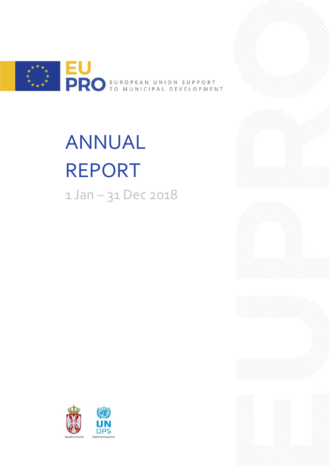

# ANNUAL REPORT 1 Jan – 31 Dec 2018



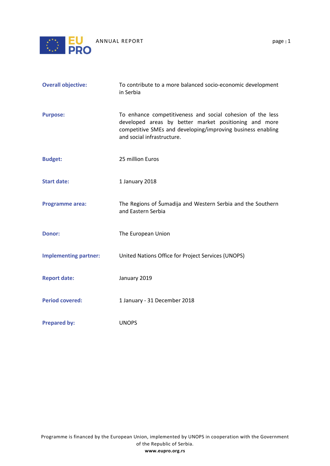

| <b>Overall objective:</b>    | To contribute to a more balanced socio-economic development<br>in Serbia                                                                                                                                         |  |
|------------------------------|------------------------------------------------------------------------------------------------------------------------------------------------------------------------------------------------------------------|--|
| <b>Purpose:</b>              | To enhance competitiveness and social cohesion of the less<br>developed areas by better market positioning and more<br>competitive SMEs and developing/improving business enabling<br>and social infrastructure. |  |
| <b>Budget:</b>               | 25 million Euros                                                                                                                                                                                                 |  |
| <b>Start date:</b>           | 1 January 2018                                                                                                                                                                                                   |  |
| <b>Programme area:</b>       | The Regions of Šumadija and Western Serbia and the Southern<br>and Eastern Serbia                                                                                                                                |  |
| <b>Donor:</b>                | The European Union                                                                                                                                                                                               |  |
| <b>Implementing partner:</b> | United Nations Office for Project Services (UNOPS)                                                                                                                                                               |  |
| <b>Report date:</b>          | January 2019                                                                                                                                                                                                     |  |
| <b>Period covered:</b>       | 1 January - 31 December 2018                                                                                                                                                                                     |  |
| <b>Prepared by:</b>          | <b>UNOPS</b>                                                                                                                                                                                                     |  |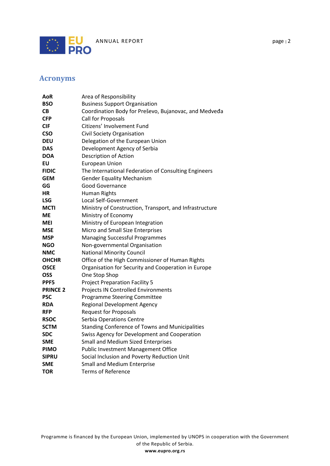

# <span id="page-2-0"></span>**Acronyms**

| AoR             | Area of Responsibility                                  |
|-----------------|---------------------------------------------------------|
| <b>BSO</b>      | <b>Business Support Organisation</b>                    |
| CВ              | Coordination Body for Preševo, Bujanovac, and Medveda   |
| <b>CFP</b>      | Call for Proposals                                      |
| <b>CIF</b>      | Citizens' Involvement Fund                              |
| <b>CSO</b>      | <b>Civil Society Organisation</b>                       |
| <b>DEU</b>      | Delegation of the European Union                        |
| DAS             | Development Agency of Serbia                            |
| <b>DOA</b>      | Description of Action                                   |
| ΕU              | <b>European Union</b>                                   |
| <b>FIDIC</b>    | The International Federation of Consulting Engineers    |
| <b>GEM</b>      | <b>Gender Equality Mechanism</b>                        |
| GG              | <b>Good Governance</b>                                  |
| НR              | <b>Human Rights</b>                                     |
| LSG             | Local Self-Government                                   |
| MCTI            | Ministry of Construction, Transport, and Infrastructure |
| МE              | Ministry of Economy                                     |
| MEI             | Ministry of European Integration                        |
| <b>MSE</b>      | Micro and Small Size Enterprises                        |
| <b>MSP</b>      | <b>Managing Successful Programmes</b>                   |
| <b>NGO</b>      | Non-governmental Organisation                           |
| <b>NMC</b>      | <b>National Minority Council</b>                        |
| <b>OHCHR</b>    | Office of the High Commissioner of Human Rights         |
| <b>OSCE</b>     | Organisation for Security and Cooperation in Europe     |
| OSS             | One Stop Shop                                           |
| PPF5            | <b>Project Preparation Facility 5</b>                   |
| <b>PRINCE 2</b> | <b>Projects IN Controlled Environments</b>              |
| <b>PSC</b>      | <b>Programme Steering Committee</b>                     |
| <b>RDA</b>      | <b>Regional Development Agency</b>                      |
| <b>RFP</b>      | <b>Request for Proposals</b>                            |
| <b>RSOC</b>     | Serbia Operations Centre                                |
| <b>SCTM</b>     | <b>Standing Conference of Towns and Municipalities</b>  |
| <b>SDC</b>      | Swiss Agency for Development and Cooperation            |
| <b>SME</b>      | <b>Small and Medium Sized Enterprises</b>               |
| <b>PIMO</b>     | <b>Public Investment Management Office</b>              |
| <b>SIPRU</b>    | Social Inclusion and Poverty Reduction Unit             |
| <b>SME</b>      | <b>Small and Medium Enterprise</b>                      |
| <b>TOR</b>      | <b>Terms of Reference</b>                               |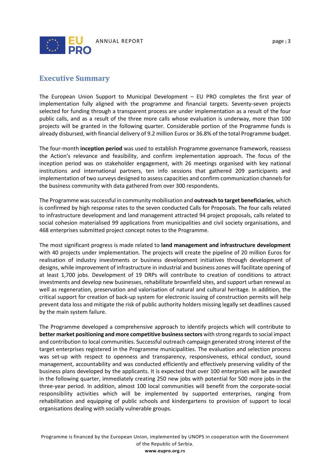

### <span id="page-3-0"></span>**Executive Summary**

The European Union Support to Municipal Development – EU PRO completes the first year of implementation fully aligned with the programme and financial targets. Seventy-seven projects selected for funding through a transparent process are under implementation as a result of the four public calls, and as a result of the three more calls whose evaluation is underway, more than 100 projects will be granted in the following quarter. Considerable portion of the Programme funds is already disbursed, with financial delivery of 9.2 million Euros or 36.8% of the total Programme budget.

The four-month **inception period** was used to establish Programme governance framework, reassess the Action's relevance and feasibility, and confirm implementation approach. The focus of the inception period was on stakeholder engagement, with 26 meetings organised with key national institutions and international partners, ten info sessions that gathered 209 participants and implementation of two surveys designed to assess capacities and confirm communication channels for the business community with data gathered from over 300 respondents.

The Programme was successful in community mobilisation and **outreach to target beneficiaries**, which is confirmed by high response rates to the seven conducted Calls for Proposals. The four calls related to infrastructure development and land management attracted 94 project proposals, calls related to social cohesion materialised 99 applications from municipalities and civil society organisations, and 468 enterprises submitted project concept notes to the Programme.

The most significant progress is made related to **land management and infrastructure development** with 40 projects under implementation. The projects will create the pipeline of 20 million Euros for realisation of industry investments or business development initiatives through development of designs, while improvement of infrastructure in industrial and business zones will facilitate opening of at least 1,700 jobs. Development of 19 DRPs will contribute to creation of conditions to attract investments and develop new businesses, rehabilitate brownfield sites, and support urban renewal as well as regeneration, preservation and valorisation of natural and cultural heritage. In addition, the critical support for creation of back-up system for electronic issuing of construction permits will help prevent data loss and mitigate the risk of public authority holders missing legally set deadlines caused by the main system failure.

The Programme developed a comprehensive approach to identify projects which will contribute to **better market positioning and more competitive business sectors** with strong regards to social impact and contribution to local communities. Successful outreach campaign generated strong interest of the target enterprises registered in the Programme municipalities. The evaluation and selection process was set-up with respect to openness and transparency, responsiveness, ethical conduct, sound management, accountability and was conducted efficiently and effectively preserving validity of the business plans developed by the applicants. It is expected that over 100 enterprises will be awarded in the following quarter, immediately creating 250 new jobs with potential for 500 more jobs in the three-year period. In addition, almost 100 local communities will benefit from the corporate-social responsibility activities which will be implemented by supported enterprises, ranging from rehabilitation and equipping of public schools and kindergartens to provision of support to local organisations dealing with socially vulnerable groups.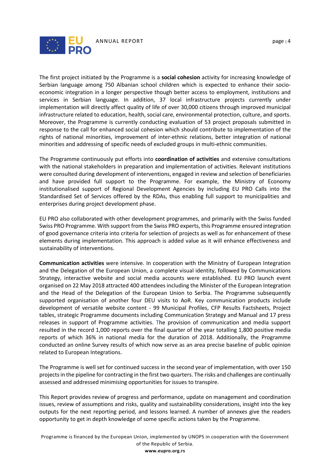

The first project initiated by the Programme is a **social cohesion** activity for increasing knowledge of Serbian language among 750 Albanian school children which is expected to enhance their socioeconomic integration in a longer perspective though better access to employment, institutions and services in Serbian language. In addition, 37 local infrastructure projects currently under implementation will directly affect quality of life of over 30,000 citizens through improved municipal infrastructure related to education, health, social care, environmental protection, culture, and sports. Moreover, the Programme is currently conducting evaluation of 53 project proposals submitted in response to the call for enhanced social cohesion which should contribute to implementation of the rights of national minorities, improvement of inter-ethnic relations, better integration of national minorities and addressing of specific needs of excluded groups in multi-ethnic communities.

The Programme continuously put efforts into **coordination of activities** and extensive consultations with the national stakeholders in preparation and implementation of activities. Relevant institutions were consulted during development of interventions, engaged in review and selection of beneficiaries and have provided full support to the Programme. For example, the Ministry of Economy institutionalised support of Regional Development Agencies by including EU PRO Calls into the Standardised Set of Services offered by the RDAs, thus enabling full support to municipalities and enterprises during project development phase.

EU PRO also collaborated with other development programmes, and primarily with the Swiss funded Swiss PRO Programme. With support from the Swiss PRO experts, this Programme ensured integration of good governance criteria into criteria for selection of projects as well as for enhancement of these elements during implementation. This approach is added value as it will enhance effectiveness and sustainability of interventions.

**Communication activities** were intensive. In cooperation with the Ministry of European Integration and the Delegation of the European Union, a complete visual identity, followed by Communications Strategy, interactive website and social media accounts were established. EU PRO launch event organised on 22 May 2018 attracted 400 attendees including the Minister of the European Integration and the Head of the Delegation of the European Union to Serbia. The Programme subsequently supported organisation of another four DEU visits to AoR. Key communication products include development of versatile website content - 99 Municipal Profiles, CFP Results Factsheets, Project tables, strategic Programme documents including Communication Strategy and Manual and 17 press releases in support of Programme activities. The provision of communication and media support resulted in the record 1,000 reports over the final quarter of the year totalling 1,800 positive media reports of which 36% in national media for the duration of 2018. Additionally, the Programme conducted an online Survey results of which now serve as an area precise baseline of public opinion related to European Integrations.

The Programme is well set for continued success in the second year of implementation, with over 150 projects in the pipeline for contracting in the first two quarters. The risks and challenges are continually assessed and addressed minimising opportunities for issues to transpire.

This Report provides review of progress and performance, update on management and coordination issues, review of assumptions and risks, quality and sustainability considerations, insight into the key outputs for the next reporting period, and lessons learned. A number of annexes give the readers opportunity to get in depth knowledge of some specific actions taken by the Programme.

Programme is financed by the European Union, implemented by UNOPS in cooperation with the Government of the Republic of Serbia. **www.eupro.org.rs**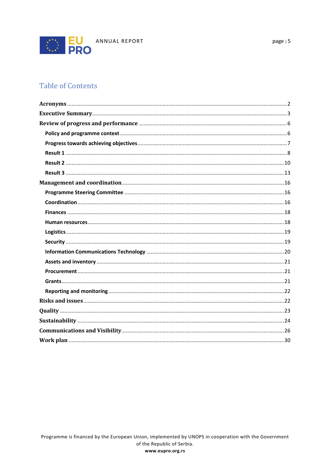

# **Table of Contents**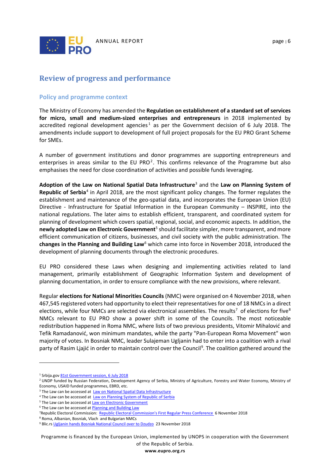

# <span id="page-6-0"></span>**Review of progress and performance**

#### <span id="page-6-1"></span>**Policy and programme context**

The Ministry of Economy has amended the **Regulation on establishment of a standard set of services for micro, small and medium-sized enterprises and entrepreneurs** in 2018 implemented by accredited regional development agencies<sup>[1](#page-6-2)</sup> as per the Government decision of 6 July 2018. The amendments include support to development of full project proposals for the EU PRO Grant Scheme for SMEs.

A number of government institutions and donor programmes are supporting entrepreneurs and enterprises in areas similar to the EU PRO<sup>[2](#page-6-3)</sup>. This confirms relevance of the Programme but also emphasises the need for close coordination of activities and possible funds leveraging.

**Adoption of the Law on National Spatial Data Infrastructure**[3](#page-6-4) and the **Law on Planning System of Republic of Serbia**[4](#page-6-5) in April 2018, are the most significant policy changes. The former regulates the establishment and maintenance of the geo-spatial data, and incorporates the European Union (EU) Directive - Infrastructure for Spatial Information in the European Community – INSPIRE, into the national regulations. The later aims to establish efficient, transparent, and coordinated system for planning of development which covers spatial, regional, social, and economic aspects. In addition, the **newly adopted Law on Electronic Government**[5](#page-6-6) should facilitate simpler, more transparent, and more efficient communication of citizens, businesses, and civil society with the public administration. The **changes in the Planning and Building Law**[6](#page-6-7) which came into force in November 2018, introduced the development of planning documents through the electronic procedures.

EU PRO considered these Laws when designing and implementing activities related to land management, primarily establishment of Geographic Information System and development of planning documentation, in order to ensure compliance with the new provisions, where relevant.

Regular **elections for National Minorities Councils** (NMC) were organised on 4 November 2018, when 467,545 registered voters had opportunity to elect their representatives for one of 18 NMCs in a direct elections, while four NMCs are selected via electronical assemblies. The results<sup>[7](#page-6-8)</sup> of elections for five<sup>[8](#page-6-9)</sup> NMCs relevant to EU PRO show a power shift in some of the Councils. The most noticeable redistribution happened in Roma NMC, where lists of two previous presidents, Vitomir Mihalović and Tefik Ramadanović, won minimum mandates, while the party "Pan-European Roma Movement" won majority of votes. In Bosniak NMC, leader Sulajeman Ugljanin had to enter into a coalition with a rival party of Rasim Ljajić in order to maintain control over the Council<sup>[9](#page-6-10)</sup>. The coalition gathered around the

 $\overline{a}$ 

Programme is financed by the European Union, implemented by UNOPS in cooperation with the Government of the Republic of Serbia.

<sup>&</sup>lt;sup>1</sup> Srbija.go[v 81st Government session, 6 July 2018](http://www.srbija.gov.rs/vesti/dokumenti_pregled.php?id=326243)

<span id="page-6-3"></span><span id="page-6-2"></span><sup>&</sup>lt;sup>2</sup> UNDP funded by Russian Federation, Development Agency of Serbia, Ministry of Agriculture, Forestry and Water Economy, Ministry of Economy, USAID funded programmes, EBRD, etc.

<span id="page-6-4"></span><sup>&</sup>lt;sup>3</sup> The Law can be accessed at [Law on National Spatial Data Infrastructure](http://www.parlament.gov.rs/upload/archive/files/cir/pdf/zakoni/2018/2149-17.pdf)

<sup>&</sup>lt;sup>4</sup> The Law can be accessed at [Law on Planning System of Republic of Serbia](http://www.parlament.gov.rs/upload/archive/files/cir/pdf/zakoni/2018/2386-17.pdf)

<span id="page-6-7"></span><span id="page-6-6"></span><span id="page-6-5"></span><sup>&</sup>lt;sup>5</sup> The Law can be accessed at **Law on Electronic Government** 

<span id="page-6-8"></span><sup>6</sup> The Law can be accessed a[t Planning and Building Law](https://www.mgsi.gov.rs/cir/dokumenti/zakon-o-planiranju-i-izgradnji)

<sup>7</sup>Republic Electoral Commission: [Republic Electoral Commission's First Regular](http://www.rik.parlament.gov.rs/latinica/aktivnosti-konferencije.php) Press Conference 6 November 2018

<span id="page-6-9"></span><sup>8</sup> Roma, Albanian, Bosniak, Vlach and Bulgarian NMCs

<span id="page-6-10"></span><sup>&</sup>lt;sup>9</sup> Blic.r[s Ugljanin hands Bosniak National Council over to Dzudzo](https://www.blic.rs/komentar/politika/ugljanin-prepustio-bosnjacko-nacionalno-vece-dzudzu/h8ftnjv) 23 November 2018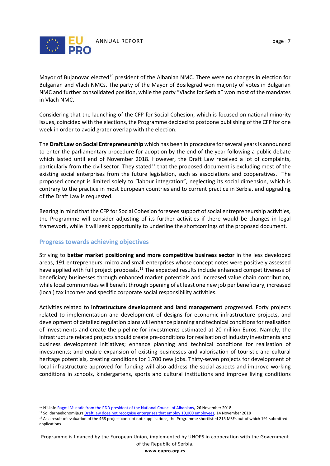

Mayor of Bujanovac elected<sup>[10](#page-7-1)</sup> president of the Albanian NMC. There were no changes in election for Bulgarian and Vlach NMCs. The party of the Mayor of Bosilegrad won majority of votes in Bulgarian NMC and further consolidated position, while the party "Vlachs for Serbia" won most of the mandates in Vlach NMC.

Considering that the launching of the CFP for Social Cohesion, which is focused on national minority issues, coincided with the elections, the Programme decided to postpone publishing of the CFP for one week in order to avoid grater overlap with the election.

The **Draft Law on Social Entrepreneurship** which has been in procedure for several years is announced to enter the parliamentary procedure for adoption by the end of the year following a public debate which lasted until end of November 2018. However, the Draft Law received a lot of complaints, particularly from the civil sector. They stated<sup>[11](#page-7-2)</sup> that the proposed document is excluding most of the existing social enterprises from the future legislation, such as associations and cooperatives. The proposed concept is limited solely to "labour integration", neglecting its social dimension, which is contrary to the practice in most European countries and to current practice in Serbia, and upgrading of the Draft Law is requested.

Bearing in mind that the CFP for Social Cohesion foresees support of social entrepreneurship activities, the Programme will consider adjusting of its further activities if there would be changes in legal framework, while it will seek opportunity to underline the shortcomings of the proposed document.

#### <span id="page-7-0"></span>**Progress towards achieving objectives**

l

Striving to **better market positioning and more competitive business sector** in the less developed areas, 191 entrepreneurs, micro and small enterprises whose concept notes were positively assessed have applied with full project proposals.<sup>[12](#page-7-3)</sup> The expected results include enhanced competitiveness of beneficiary businesses through enhanced market potentials and increased value chain contribution, while local communities will benefit through opening of at least one new job per beneficiary, increased (local) tax incomes and specific corporate social responsibility activities.

Activities related to **infrastructure development and land management** progressed. Forty projects related to implementation and development of designs for economic infrastructure projects, and development of detailed regulation plans will enhance planning and technical conditions for realisation of investments and create the pipeline for investments estimated at 20 million Euros. Namely, the infrastructure related projects should create pre-conditions for realisation of industry investments and business development initiatives; enhance planning and technical conditions for realisation of investments; and enable expansion of existing businesses and valorisation of touristic and cultural heritage potentials, creating conditions for 1,700 new jobs. Thirty-seven projects for development of local infrastructure approved for funding will also address the social aspects and improve working conditions in schools, kindergartens, sports and cultural institutions and improve living conditions

<span id="page-7-1"></span><sup>&</sup>lt;sup>10</sup> N1.inf[o Ragmi Mustafa from the PDD president of the National Council of Albanians](http://rs.n1info.com/Vesti/a439031/Ragmi-Mustafa-iz-PDD-predsednik-Nacionalnog-saveta-Albanaca.html), 26 November 2018

<span id="page-7-2"></span><sup>&</sup>lt;sup>11</sup> Solidarnaekonomija.r[s Draft law does not recognise enterprises that employ 10,000 employees,](https://solidarnaekonomija.rs/aktuelnosti/nacrt-zakona-ne-prepoznaje-preduzeca-koja-zaposljavaju-10-000-ljudi/) 14 November 2018

<span id="page-7-3"></span><sup>&</sup>lt;sup>12</sup> As a result of evaluation of the 468 project concept note applications, the Programme shortlisted 215 MSEs out of which 191 submitted applications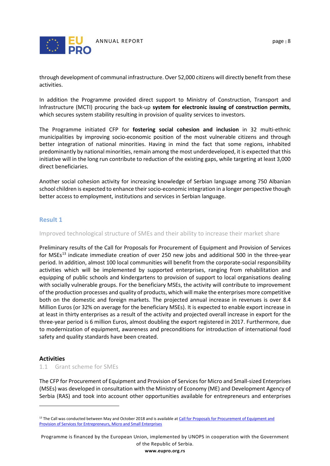

through development of communal infrastructure. Over 52,000 citizens will directly benefit from these activities.

In addition the Programme provided direct support to Ministry of Construction, Transport and Infrastructure (MCTI) procuring the back-up **system for electronic issuing of construction permits**, which secures system stability resulting in provision of quality services to investors.

The Programme initiated CFP for **fostering social cohesion and inclusion** in 32 multi-ethnic municipalities by improving socio-economic position of the most vulnerable citizens and through better integration of national minorities. Having in mind the fact that some regions, inhabited predominantly by national minorities, remain among the most underdeveloped, it is expected that this initiative will in the long run contribute to reduction of the existing gaps, while targeting at least 3,000 direct beneficiaries.

Another social cohesion activity for increasing knowledge of Serbian language among 750 Albanian school children is expected to enhance their socio-economic integration in a longer perspective though better access to employment, institutions and services in Serbian language.

#### <span id="page-8-0"></span>**Result 1**

Improved technological structure of SMEs and their ability to increase their market share

Preliminary results of the Call for Proposals for Procurement of Equipment and Provision of Services for MSEs<sup>[13](#page-8-1)</sup> indicate immediate creation of over 250 new jobs and additional 500 in the three-year period. In addition, almost 100 local communities will benefit from the corporate-social responsibility activities which will be implemented by supported enterprises, ranging from rehabilitation and equipping of public schools and kindergartens to provision of support to local organisations dealing with socially vulnerable groups. For the beneficiary MSEs, the activity will contribute to improvement of the production processes and quality of products, which will make the enterprises more competitive both on the domestic and foreign markets. The projected annual increase in revenues is over 8.4 Million Euros (or 32% on average for the beneficiary MSEs). It is expected to enable export increase in at least in thirty enterprises as a result of the activity and projected overall increase in export for the three-year period is 6 million Euros, almost doubling the export registered in 2017. Furthermore, due to modernization of equipment, awareness and preconditions for introduction of international food safety and quality standards have been created.

#### **Activities**

 $\overline{a}$ 

1.1 Grant scheme for SMEs

The CFP for Procurement of Equipment and Provision of Services for Micro and Small-sized Enterprises (MSEs) was developed in consultation with the Ministry of Economy (ME) and Development Agency of Serbia (RAS) and took into account other opportunities available for entrepreneurs and enterprises

Programme is financed by the European Union, implemented by UNOPS in cooperation with the Government of the Republic of Serbia.

<span id="page-8-1"></span><sup>&</sup>lt;sup>13</sup> The Call was conducted between May and October 2018 and is available at Call for Proposals for Procurement of Equipment and [Provision of Services for Entrepreneurs, Micro and Small Enterprises](http://www.eupro.org.rs/ktext/javni-poziv-za-podnosenje-predloga-projekata-za-nabavku-opreme)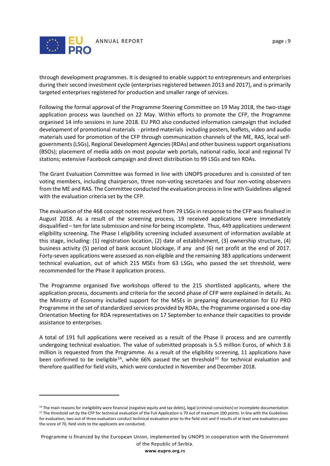

 $\overline{a}$ 

through development programmes. It is designed to enable support to entrepreneurs and enterprises during their second investment cycle (enterprises registered between 2013 and 2017), and is primarily targeted enterprises registered for production and smaller range of services.

Following the formal approval of the Programme Steering Committee on 19 May 2018, the two-stage application process was launched on 22 May. Within efforts to promote the CFP, the Programme organised 14 info sessions in June 2018. EU PRO also conducted information campaign that included development of promotional materials - printed materials including posters, leaflets, video and audio materials used for promotion of the CFP through communication channels of the ME, RAS, local selfgovernments (LSGs), Regional Development Agencies (RDAs) and other business support organisations (BSOs); placement of media adds on most popular web portals, national radio, local and regional TV stations; extensive Facebook campaign and direct distribution to 99 LSGs and ten RDAs.

The Grant Evaluation Committee was formed in line with UNOPS procedures and is consisted of ten voting members, including chairperson, three non-voting secretaries and four non-voting observers from the ME and RAS. The Committee conducted the evaluation process in line with Guidelines aligned with the evaluation criteria set by the CFP.

The evaluation of the 468 concept notes received from 79 LSGs in response to the CFP was finalised in August 2018. As a result of the screening process, 19 received applications were immediately disqualified – ten for late submission and nine for being incomplete. Thus, 449 applications underwent eligibility screening. The Phase I eligibility screening included assessment of information available at this stage, including: (1) registration location, (2) date of establishment, (3) ownership structure, (4) business activity (5) period of bank account blockage, if any and (6) net profit at the end of 2017. Forty-seven applications were assessed as non-eligible and the remaining 383 applications underwent technical evaluation, out of which 215 MSEs from 63 LSGs, who passed the set threshold, were recommended for the Phase II application process.

The Programme organised five workshops offered to the 215 shortlisted applicants, where the application process, documents and criteria for the second phase of CFP were explained in details. As the Ministry of Economy included support for the MSEs in preparing documentation for EU PRO Programme in the set of standardized services provided by RDAs, the Programme organised a one-day Orientation Meeting for RDA representatives on 17 September to enhance their capacities to provide assistance to enterprises.

A total of 191 full applications were received as a result of the Phase II process and are currently undergoing technical evaluation. The value of submitted proposals is 5.5 million Euros, of which 3.6 million is requested from the Programme. As a result of the eligibility screening, 11 applications have been confirmed to be ineligible  $14$ , while 66% passed the set threshold  $15$  for technical evaluation and therefore qualified for field visits, which were conducted in November and December 2018.

<span id="page-9-1"></span><span id="page-9-0"></span><sup>&</sup>lt;sup>14</sup> The main reasons for ineligibility were financial (negative equity and tax debts), legal (criminal conviction) or incomplete documentation <sup>15</sup> The threshold set by the CFP for technical evaluation of the Full Application is 70 out of maximum 100 points. In line with the Guidelines for evaluation, two out of three evaluators conduct technical evaluation prior to the field visit and if results of at least one evaluators pass the score of 70, field visits to the applicants are conducted.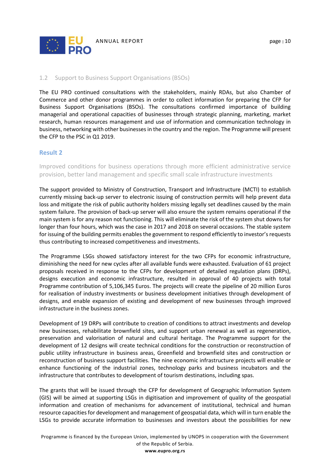

#### 1.2 Support to Business Support Organisations (BSOs)

The EU PRO continued consultations with the stakeholders, mainly RDAs, but also Chamber of Commerce and other donor programmes in order to collect information for preparing the CFP for Business Support Organisations (BSOs). The consultations confirmed importance of building managerial and operational capacities of businesses through strategic planning, marketing, market research, human resources management and use of information and communication technology in business, networking with other businesses in the country and the region. The Programme will present the CFP to the PSC in Q1 2019.

#### <span id="page-10-0"></span>**Result 2**

Improved conditions for business operations through more efficient administrative service provision, better land management and specific small scale infrastructure investments

The support provided to Ministry of Construction, Transport and Infrastructure (MCTI) to establish currently missing back-up server to electronic issuing of construction permits will help prevent data loss and mitigate the risk of public authority holders missing legally set deadlines caused by the main system failure. The provision of back-up server will also ensure the system remains operational if the main system is for any reason not functioning. This will eliminate the risk of the system shut downs for longer than four hours, which was the case in 2017 and 2018 on several occasions. The stable system for issuing of the building permits enables the government to respond efficiently to investor's requests thus contributing to increased competitiveness and investments.

The Programme LSGs showed satisfactory interest for the two CFPs for economic infrastructure, diminishing the need for new cycles after all available funds were exhausted. Evaluation of 61 project proposals received in response to the CFPs for development of detailed regulation plans (DRPs), designs execution and economic infrastructure, resulted in approval of 40 projects with total Programme contribution of 5,106,345 Euros. The projects will create the pipeline of 20 million Euros for realisation of industry investments or business development initiatives through development of designs, and enable expansion of existing and development of new businesses through improved infrastructure in the business zones.

Development of 19 DRPs will contribute to creation of conditions to attract investments and develop new businesses, rehabilitate brownfield sites, and support urban renewal as well as regeneration, preservation and valorisation of natural and cultural heritage. The Programme support for the development of 12 designs will create technical conditions for the construction or reconstruction of public utility infrastructure in business areas, Greenfield and brownfield sites and construction or reconstruction of business support facilities. The nine economic infrastructure projects will enable or enhance functioning of the industrial zones, technology parks and business incubators and the infrastructure that contributes to development of tourism destinations, including spas.

The grants that will be issued through the CFP for development of Geographic Information System (GIS) will be aimed at supporting LSGs in digitisation and improvement of quality of the geospatial information and creation of mechanisms for advancement of institutional, technical and human resource capacities for development and management of geospatial data, which will in turn enable the LSGs to provide accurate information to businesses and investors about the possibilities for new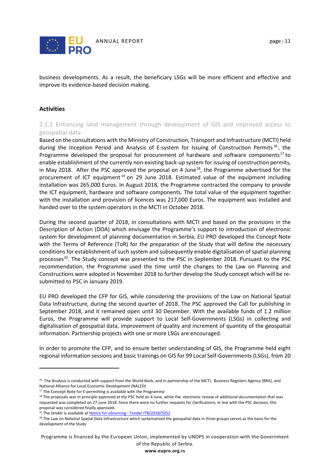

business developments. As a result, the beneficiary LSGs will be more efficient and effective and

improve its evidence-based decision making.

#### **Activities**

 $\overline{a}$ 

2.1.1 Enhancing land management through development of GIS and improved access to geospatial data

Based on the consultations with the Ministry of Construction, Transport and Infrastructure (MCTI) held during the Inception Period and Analysis of E-system for Issuing of Construction Permits<sup>[16](#page-11-0)</sup>, the Programme developed the proposal for procurement of hardware and software components<sup>[17](#page-11-1)</sup> to enable establishment of the currently non-existing back-up system for issuing of construction permits, in May 20[18](#page-11-2). After the PSC approved the proposal on 4 June<sup>18</sup>, the Programme advertised for the procurement of ICT equipment  $19$  on 29 June 2018. Estimated value of the equipment including installation was 265,000 Euros. In August 2018, the Programme contracted the company to provide the ICT equipment, hardware and software components. The total value of the equipment together with the installation and provision of licences was 217,000 Euros. The equipment was installed and handed over to the system operators in the MCTI in October 2018.

During the second quarter of 2018, in consultations with MCTI and based on the provisions in the Description of Action (DOA) which envisage the Programme's support to introduction of electronic system for development of planning documentation in Serbia, EU PRO developed the Concept Note with the Terms of Reference (ToR) for the preparation of the Study that will define the necessary conditions for establishment of such system and subsequently enable digitalisation of spatial planning processes<sup>[20](#page-11-4)</sup>. The Study concept was presented to the PSC in September 2018. Pursuant to the PSC recommendation, the Programme used the time until the changes to the Law on Planning and Constructions were adopted in November 2018 to further develop the Study concept which will be resubmitted to PSC in January 2019.

EU PRO developed the CFP for GIS, while considering the provisions of the Law on National Spatial Data Infrastructure, during the second quarter of 2018. The PSC approved the Call for publishing in September 2018, and it remained open until 30 December. With the available funds of 1.2 million Euros, the Programme will provide support to Local Self-Governments (LSGs) in collecting and digitalisation of geospatial data, improvement of quality and increment of quantity of the geospatial information. Partnership projects with one or more LSGs are encouraged.

In order to promote the CFP, and to ensure better understanding of GIS, the Programme held eight regional information sessions and basic trainings on GIS for 99 Local Self-Governments (LSGs), from 20

Programme is financed by the European Union, implemented by UNOPS in cooperation with the Government of the Republic of Serbia.

<span id="page-11-0"></span><sup>&</sup>lt;sup>16</sup> The Analysis is conducted with support from the World Bank, and in partnership of the MCTI, Business Registers Agency (BRA), and National Alliance for Local Economic Development (NALED)

 $17$  The Concept Note for E-permitting is available with the Programme

<span id="page-11-2"></span><span id="page-11-1"></span><sup>&</sup>lt;sup>18</sup> The proposals was in principle approved at the PSC held on 4 June, while the electronic review of additional documentation that was requested was completed on 27 June 2018. Since there were no further requests for clarifications, in line with the PSC decision, this proposal was considered finally approved.<br><sup>19</sup> The tender is available at Notice for eSourcing - [Tender ITB/2018/5052](http://eupro.org.rs/ktext/esourcing-obavestenje-tender-itb-2018-5052)

<span id="page-11-4"></span><span id="page-11-3"></span><sup>&</sup>lt;sup>20</sup> The Law on National Spatial Data Infrastructure which systematised the geospatial data in three groups serves as the basis for the development of the Study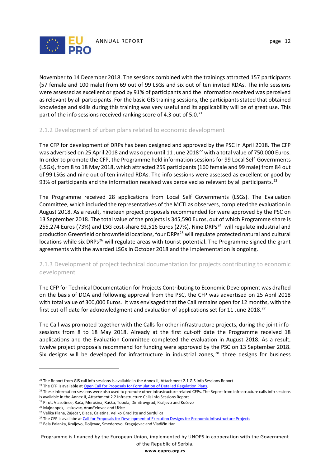

November to 14 December 2018. The sessions combined with the trainings attracted 157 participants (57 female and 100 male) from 69 out of 99 LSGs and six out of ten invited RDAs. The info sessions were assessed as excellent or good by 91% of participants and the information received was perceived as relevant by all participants. For the basic GIS training sessions, the participants stated that obtained knowledge and skills during this training was very useful and its applicability will be of great use. This

#### 2.1.2 Development of urban plans related to economic development

part of the info sessions received ranking score of 4.3 out of 5.0. $^{21}$  $^{21}$  $^{21}$ 

The CFP for development of DRPs has been designed and approved by the PSC in April 2018. The CFP was advertised on 25 April 2018 and was open until 11 June 2018<sup>[22](#page-12-1)</sup> with a total value of 750,000 Euros. In order to promote the CFP, the Programme held information sessions for 99 Local Self-Governments (LSGs), from 8 to 18 May 2018, which attracted 259 participants (160 female and 99 male) from 84 out of 99 LSGs and nine out of ten invited RDAs. The info sessions were assessed as excellent or good by 93% of participants and the information received was perceived as relevant by all participants.<sup>[23](#page-12-2)</sup>

The Programme received 28 applications from Local Self Governments (LSGs). The Evaluation Committee, which included the representatives of the MCTI as observers, completed the evaluation in August 2018. As a result, nineteen project proposals recommended for were approved by the PSC on 13 September 2018. The total value of the projects is 345,590 Euros, out of which Programme share is 255,274 Euros (73%) and LSG cost-share 92,516 Euros (27%). Nine DRPs<sup>[24](#page-12-3)</sup> will regulate industrial and production Greenfield or brownfield locations, four DRPs<sup>[25](#page-12-4)</sup> will regulate protected natural and cultural locations while six DRPs<sup>[26](#page-12-5)</sup> will regulate areas with tourist potential. The Programme signed the grant agreements with the awarded LSGs in October 2018 and the implementation is ongoing.

#### 2.1.3 Development of project technical documentation for projects contributing to economic development

The CFP for Technical Documentation for Projects Contributing to Economic Development was drafted on the basis of DOA and following approval from the PSC, the CFP was advertised on 25 April 2018 with total value of 300,000 Euros. It was envisaged that the Call remains open for 12 months, with the first cut-off date for acknowledgment and evaluation of applications set for 11 June 2018.<sup>[27](#page-12-6)</sup>

The Call was promoted together with the Calls for other infrastructure projects, during the joint infosessions from 8 to 18 May 2018. Already at the first cut-off date the Programme received 18 applications and the Evaluation Committee completed the evaluation in August 2018. As a result, twelve project proposals recommend for funding were approved by the PSC on 13 September 2018. Six designs will be developed for infrastructure in industrial zones,  $28$  three designs for business

<span id="page-12-4"></span><sup>25</sup> Majdanpek, Leskovac, Aranđelovac and Užice

 $\overline{a}$ 

Programme is financed by the European Union, implemented by UNOPS in cooperation with the Government of the Republic of Serbia.

<span id="page-12-0"></span><sup>&</sup>lt;sup>21</sup> The Report from GIS call info sessions is available in the Annex II, Attachment 2.1 GIS Info Sessions Report

<span id="page-12-2"></span><span id="page-12-1"></span><sup>&</sup>lt;sup>22</sup> The CFP is available at <u>Open Call for Proposals for Formulation of Detailed Regulation Plans</u>.<br><sup>23</sup> These information sessions were also used to promote other infrastructure related CFPs. The Report from infrastructu

is available in the Annex II, Attachment 2.2 Infrastructure Calls Info Sessions Report

<span id="page-12-3"></span><sup>&</sup>lt;sup>24</sup> Pirot, Vlasotince, Rača, Merošina, Raška, Topola, Dimitrovgrad, Kraljevo and Kučevo

<span id="page-12-5"></span><sup>&</sup>lt;sup>26</sup> Velika Plana, Zaječar, Blace, Čajetina, Veliko Gradište and Surdulica

<span id="page-12-6"></span><sup>&</sup>lt;sup>27</sup> The CFP is availabe a[t Call for Proposals for Development of Execution Designs for Economic Infrastructure Projects](http://eupro.org.rs/en/ktext/open-call-for-proposals-for-development-of-execution-designs-for-economic-infrastructure-projects)

<span id="page-12-7"></span><sup>&</sup>lt;sup>28</sup> Bela Palanka, Kraljevo, Doljevac, Smederevo, Kragujevac and Vladičin Han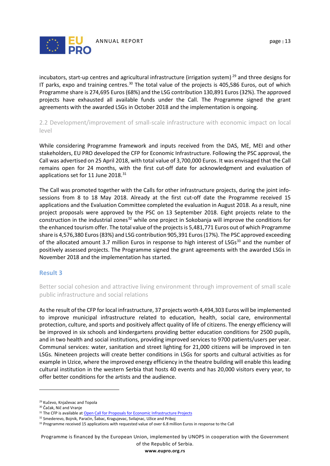

incubators, start-up centres and agricultural infrastructure (irrigation system)<sup>[29](#page-13-1)</sup> and three designs for IT parks, expo and training centres.<sup>[30](#page-13-2)</sup> The total value of the projects is 405,586 Euros, out of which Programme share is 274,695 Euros (68%) and the LSG contribution 130,891 Euros (32%). The approved projects have exhausted all available funds under the Call. The Programme signed the grant agreements with the awarded LSGs in October 2018 and the implementation is ongoing.

2.2 Development/improvement of small-scale infrastructure with economic impact on local level

While considering Programme framework and inputs received from the DAS, ME, MEI and other stakeholders, EU PRO developed the CFP for Economic Infrastructure. Following the PSC approval, the Call was advertised on 25 April 2018, with total value of 3,700,000 Euros. It was envisaged that the Call remains open for 24 months, with the first cut-off date for acknowledgment and evaluation of applications set for 11 June 2018. $31$ 

The Call was promoted together with the Calls for other infrastructure projects, during the joint infosessions from 8 to 18 May 2018. Already at the first cut-off date the Programme received 15 applications and the Evaluation Committee completed the evaluation in August 2018. As a result, nine project proposals were approved by the PSC on 13 September 2018. Eight projects relate to the construction in the industrial zones<sup>[32](#page-13-4)</sup> while one project in Sokobanja will improve the conditions for the enhanced tourism offer. The total value of the projects is 5,481,771 Euros out of which Programme share is 4,576,380 Euros (83%) and LSG contribution 905,391 Euros (17%). The PSC approved exceeding of the allocated amount 3.7 million Euros in response to high interest of LSGs<sup>[33](#page-13-5)</sup> and the number of positively assessed projects. The Programme signed the grant agreements with the awarded LSGs in November 2018 and the implementation has started.

#### <span id="page-13-0"></span>**Result 3**

Better social cohesion and attractive living environment through improvement of small scale public infrastructure and social relations

As the result of the CFP for local infrastructure, 37 projects worth 4,494,303 Euros will be implemented to improve municipal infrastructure related to education, health, social care, environmental protection, culture, and sports and positively affect quality of life of citizens. The energy efficiency will be improved in six schools and kindergartens providing better education conditions for 2500 pupils, and in two health and social institutions, providing improved services to 9700 patients/users per year. Communal services: water, sanitation and street lighting for 21,000 citizens will be improved in ten LSGs. Nineteen projects will create better conditions in LSGs for sports and cultural activities as for example in Uzice, where the improved energy efficiency in the theatre building will enable this leading cultural institution in the western Serbia that hosts 40 events and has 20,000 visitors every year, to offer better conditions for the artists and the audience.

 $\overline{a}$ 

Programme is financed by the European Union, implemented by UNOPS in cooperation with the Government of the Republic of Serbia.

<span id="page-13-1"></span><sup>29</sup> Kučevo, Knjaževac and Topola

<span id="page-13-2"></span><sup>&</sup>lt;sup>30</sup> Čačak, Nič and Vranje

<span id="page-13-4"></span><span id="page-13-3"></span><sup>&</sup>lt;sup>31</sup> The CFP is available at <u>Open Call for Proposals for Economic Infrastructure Projects</u> <sup>32</sup> Smederevo, Bojnik, Paraćin, Šabac, Kragujevac, Svilajnac, Užice and Priboj

<span id="page-13-5"></span><sup>&</sup>lt;sup>33</sup> Programme received 15 applications with requested value of over 6.8 million Euros in response to the Call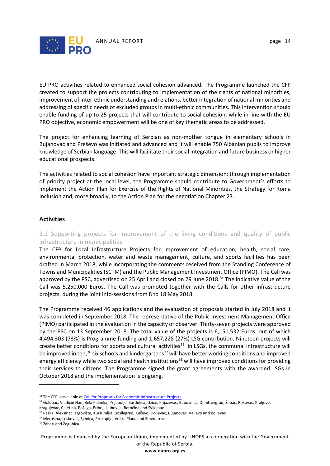

EU PRO activities related to enhanced social cohesion advanced. The Programme launched the CFP created to support the projects contributing to implementation of the rights of national minorities, improvement of inter-ethnic understanding and relations, better integration of national minorities and addressing of specific needs of excluded groups in multi-ethnic communities. This intervention should enable funding of up to 25 projects that will contribute to social cohesion, while in line with the EU PRO objective, economic empowerment will be one of key thematic areas to be addressed.

The project for enhancing learning of Serbian as non-mother tongue in elementary schools in Bujanovac and Preševo was initiated and advanced and it will enable 750 Albanian pupils to improve knowledge of Serbian language. This will facilitate their social integration and future business or higher educational prospects.

The activities related to social cohesion have important strategic dimension: through implementation of priority project at the local level, the Programme should contribute to Government's efforts to implement the Action Plan for Exercise of the Rights of National Minorities, the Strategy for Roma Inclusion and, more broadly, to the Action Plan for the negotiation Chapter 23.

#### **Activities**

3.1 Supporting projects for improvement of the living conditions and quality of public infrastructure in municipalities

The CFP for Local Infrastructure Projects for improvement of education, health, social care, environmental protection, water and waste management, culture, and sports facilities has been drafted in March 2018, while incorporating the comments received from the Standing Conference of Towns and Municipalities (SCTM) and the Public Management Investment Office (PIMO). The Call was approved by the PSC, advertised on 25 April and closed on 29 June 2018.<sup>34</sup> The indicative value of the Call was 5,250,000 Euros. The Call was promoted together with the Calls for other infrastructure projects, during the joint info-sessions from 8 to 18 May 2018.

The Programme received 46 applications and the evaluation of proposals started in July 2018 and it was completed in September 2018. The representative of the Public Investment Management Office (PIMO) participated in the evaluation in the capacity of observer. Thirty-seven projects were approved by the PSC on 13 September 2018. The total value of the projects is 6,151,532 Euros, out of which 4,494,303 (73%) is Programme funding and 1,657,228 (27%) LSG contribution. Nineteen projects will create better conditions for sports and cultural activities<sup>35</sup> in LSGs, the communal infrastructure will be improved in ten,<sup>36</sup> six schools and kindergartens<sup>[37](#page-14-3)</sup> will have better working conditions and improved energy efficiency while two social and health institutions<sup>[38](#page-14-4)</sup> will have improved conditions for providing their services to citizens. The Programme signed the grant agreements with the awarded LSGs in October 2018 and the implementation is ongoing.

 $\overline{a}$ 

Programme is financed by the European Union, implemented by UNOPS in cooperation with the Government of the Republic of Serbia.

<sup>&</sup>lt;sup>34</sup> The CFP is available at *Call for Proposals for Economic Infrastructure Projects* 

<span id="page-14-1"></span><span id="page-14-0"></span><sup>35</sup> Golubac, Vladičin Han, Bela Palanka, Prijepolje, Surdulica, Užice, Knjaževac, Babušnica, Dimitrovgrad, Šabac, Rekovac, Kraljevo, Kragujevac, Čajetina, Požega, Priboj, Ljubovija, Batočina and Svilajnac

<span id="page-14-2"></span><sup>&</sup>lt;sup>36</sup> Raška, Aleksinac, Trgovište, Kuršumlija, Bosilegrad, Kučevo, Doljevac, Bujanovac, Valjevo and Boljevac

<span id="page-14-3"></span><sup>37</sup> Merošina, Leskovac, Sjenica, Prokuplje, Velika Plana and Smederevo.

<span id="page-14-4"></span><sup>38</sup> Žabari and Žagubica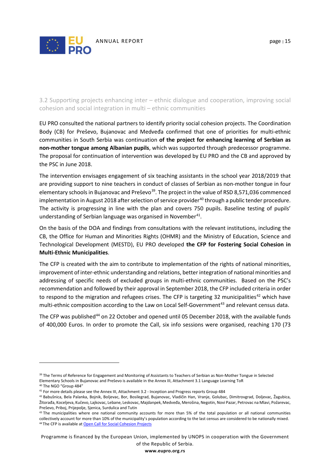

3.2 Supporting projects enhancing inter – ethnic dialogue and cooperation, improving social cohesion and social integration in multi – ethnic communities

EU PRO consulted the national partners to identify priority social cohesion projects. The Coordination Body (CB) for Preševo, Bujanovac and Medveđa confirmed that one of priorities for multi-ethnic communities in South Serbia was continuation **of the project for enhancing learning of Serbian as non-mother tongue among Albanian pupils**, which was supported through predecessor programme. The proposal for continuation of intervention was developed by EU PRO and the CB and approved by the PSC in June 2018.

The intervention envisages engagement of six teaching assistants in the school year 2018/2019 that are providing support to nine teachers in conduct of classes of Serbian as non-mother tongue in four elementary schools in Bujanovac and Preševo $^{39}$  $^{39}$  $^{39}$ . The project in the value of RSD 8,571,036 commenced implementation in August 2018 after selection of service provider<sup>[40](#page-15-1)</sup> through a public tender procedure. The activity is progressing in line with the plan and covers 750 pupils. Baseline testing of pupils' understanding of Serbian language was organised in November<sup>[41](#page-15-2)</sup>.

On the basis of the DOA and findings from consultations with the relevant institutions, including the CB, the Office for Human and Minorities Rights (OHMR) and the Ministry of Education, Science and Technological Development (MESTD), EU PRO developed **the CFP for Fostering Social Cohesion in Multi-Ethnic Municipalities**.

The CFP is created with the aim to contribute to implementation of the rights of national minorities, improvement of inter-ethnic understanding and relations, better integration of national minorities and addressing of specific needs of excluded groups in multi-ethnic communities. Based on the PSC's recommendation and followed by their approval in September 2018, the CFP included criteria in order to respond to the migration and refugees crises. The CFP is targeting 32 municipalities<sup>[42](#page-15-3)</sup> which have multi-ethnic composition according to the Law on Local Self-Government<sup>[43](#page-15-4)</sup> and relevant census data.

The CFP was published<sup>[44](#page-15-5)</sup> on 22 October and opened until 05 December 2018, with the available funds of 400,000 Euros. In order to promote the Call, six info sessions were organised, reaching 170 (73

 $\overline{a}$ 

Programme is financed by the European Union, implemented by UNOPS in cooperation with the Government of the Republic of Serbia.

<span id="page-15-0"></span><sup>&</sup>lt;sup>39</sup> The Terms of Reference for Engagement and Monitoring of Assistants to Teachers of Serbian as Non-Mother Tongue in Selected Elementary Schools in Bujanovac and Preševo is available in the Annex III, Attachment 3.1 Language Learning ToR <sup>40</sup> The NGO "Group 484"

<span id="page-15-2"></span><span id="page-15-1"></span><sup>41</sup> For more details please see the Annex III, Attachment 3.2 - Inception and Progress reports Group 484

<span id="page-15-3"></span><sup>42</sup> Babušnica, Bela Palanka, Bojnik, Boljevac, Bor, Bosilegrad, Bujanovac, Vladičin Han, Vranje, Golubac, Dimitrovgrad, Doljevac, Žagubica, Žitorađa, Koceljeva, Kučevo, Lajkovac, Lebane, Leskovac, Majdanpek, Medveđa, Merošina, Negotin, Novi Pazar, Petrovac na Mlavi, Požarevac, Preševo, Priboj, Prijepolje, Sjenica, Surdulica and Tutin

<span id="page-15-5"></span><span id="page-15-4"></span><sup>&</sup>lt;sup>43</sup> The municipalities where one national community accounts for more than 5% of the total population or all national communities collectively account for more than 10% of the municipality's population according to the last census are considered to be nationally mixed. 44 The CFP is available a[t Open Call for Social Cohesion Projects](https://www.eupro.org.rs/en/ktext/javni-poziv-za-dostavljanje-predloga-projekata-za-jacanje-socijalne-kohezije-u-multietnickim-opstinama)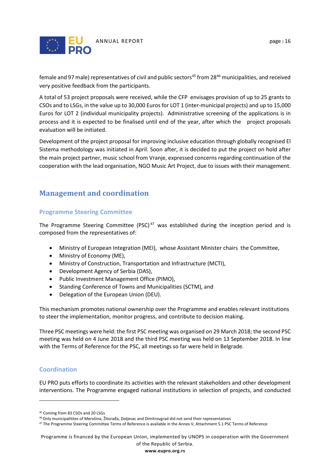

female and 97 male) representatives of civil and public sectors<sup>[45](#page-16-3)</sup> from 28<sup>[46](#page-16-4)</sup> municipalities, and received very positive feedback from the participants.

A total of 53 project proposals were received, while the CFP envisages provision of up to 25 grants to CSOs and to LSGs, in the value up to 30,000 Euros for LOT 1 (inter-municipal projects) and up to 15,000 Euros for LOT 2 (individual municipality projects). Administrative screening of the applications is in process and it is expected to be finalised until end of the year, after which the project proposals evaluation will be initiated.

Development of the project proposal for improving inclusive education through globally recognised El Sistema methodology was initiated in April. Soon after, it is decided to put the project on hold after the main project partner, music school from Vranje, expressed concerns regarding continuation of the cooperation with the lead organisation, NGO Music Art Project, due to issues with their management.

# <span id="page-16-0"></span>**Management and coordination**

#### <span id="page-16-1"></span>**Programme Steering Committee**

The Programme Steering Committee (PSC)<sup>[47](#page-16-5)</sup> was established during the inception period and is composed from the representatives of:

- Ministry of European Integration (MEI), whose Assistant Minister chairs the Committee,
- Ministry of Economy (ME),
- Ministry of Construction, Transportation and Infrastructure (MCTI),
- Development Agency of Serbia (DAS),
- Public Investment Management Office (PIMO),
- Standing Conference of Towns and Municipalities (SCTM), and
- Delegation of the European Union (DEU).

This mechanism promotes national ownership over the Programme and enables relevant institutions to steer the implementation, monitor progress, and contribute to decision making.

Three PSC meetings were held: the first PSC meeting was organised on 29 March 2018; the second PSC meeting was held on 4 June 2018 and the third PSC meeting was held on 13 September 2018. In line with the Terms of Reference for the PSC, all meetings so far were held in Belgrade.

#### <span id="page-16-2"></span>**Coordination**

 $\overline{a}$ 

EU PRO puts efforts to coordinate its activities with the relevant stakeholders and other development interventions. The Programme engaged national institutions in selection of projects, and conducted

Programme is financed by the European Union, implemented by UNOPS in cooperation with the Government of the Republic of Serbia.

<span id="page-16-3"></span><sup>45</sup> Coming from 83 CSOs and 20 LSGs

<span id="page-16-4"></span><sup>46</sup>Only municipalitites of Merošina, Žitorađa, Doljevac and Dimitrovgrad did not send their representatives

<span id="page-16-5"></span><sup>&</sup>lt;sup>47</sup> The Programme Steering Committee Terms of Reference is available in the Annex V, Attachment 5.1 PSC Terms of Reference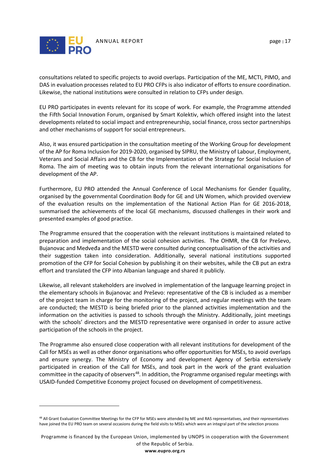

 $\overline{a}$ 

consultations related to specific projects to avoid overlaps. Participation of the ME, MCTI, PIMO, and DAS in evaluation processes related to EU PRO CFPs is also indicator of efforts to ensure coordination. Likewise, the national institutions were consulted in relation to CFPs under design.

EU PRO participates in events relevant for its scope of work. For example, the Programme attended the Fifth Social Innovation Forum, organised by Smart Kolektiv, which offered insight into the latest developments related to social impact and entrepreneurship, social finance, cross sector partnerships and other mechanisms of support for social entrepreneurs.

Also, it was ensured participation in the consultation meeting of the Working Group for development of the AP for Roma Inclusion for 2019-2020, organised by SIPRU, the Ministry of Labour, Employment, Veterans and Social Affairs and the CB for the Implementation of the Strategy for Social Inclusion of Roma. The aim of meeting was to obtain inputs from the relevant international organisations for development of the AP.

Furthermore, EU PRO attended the Annual Conference of Local Mechanisms for Gender Equality, organised by the governmental Coordination Body for GE and UN Women, which provided overview of the evaluation results on the implementation of the National Action Plan for GE 2016-2018, summarised the achievements of the local GE mechanisms, discussed challenges in their work and presented examples of good practice.

The Programme ensured that the cooperation with the relevant institutions is maintained related to preparation and implementation of the social cohesion activities. The OHMR, the CB for Preševo, Bujanovac and Medveđa and the MESTD were consulted during conceptualisation of the activities and their suggestion taken into consideration. Additionally, several national institutions supported promotion of the CFP for Social Cohesion by publishing it on their websites, while the CB put an extra effort and translated the CFP into Albanian language and shared it publicly.

Likewise, all relevant stakeholders are involved in implementation of the language learning project in the elementary schools in Bujanovac and Preševo: representative of the CB is included as a member of the project team in charge for the monitoring of the project, and regular meetings with the team are conducted; the MESTD is being briefed prior to the planned activities implementation and the information on the activities is passed to schools through the Ministry. Additionally, joint meetings with the schools' directors and the MESTD representative were organised in order to assure active participation of the schools in the project.

The Programme also ensured close cooperation with all relevant institutions for development of the Call for MSEs as well as other donor organisations who offer opportunities for MSEs, to avoid overlaps and ensure synergy. The Ministry of Economy and development Agency of Serbia extensively participated in creation of the Call for MSEs, and took part in the work of the grant evaluation committee in the capacity of observers<sup>[48](#page-17-0)</sup>. In addition, the Programme organised regular meetings with USAID-funded Competitive Economy project focused on development of competitiveness.

<span id="page-17-0"></span><sup>48</sup> All Grant Evaluation Committee Meetings for the CFP for MSEs were attended by ME and RAS representatives, and their representatives have joined the EU PRO team on several occasions during the field visits to MSEs which were an integral part of the selection process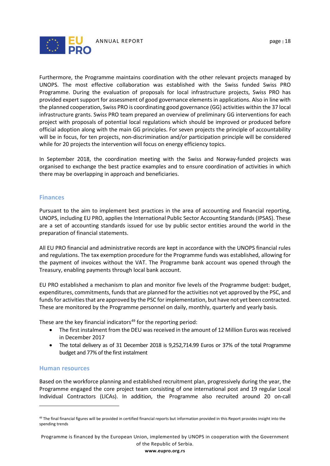



Furthermore, the Programme maintains coordination with the other relevant projects managed by UNOPS. The most effective collaboration was established with the Swiss funded Swiss PRO Programme. During the evaluation of proposals for local infrastructure projects, Swiss PRO has provided expert support for assessment of good governance elements in applications. Also in line with the planned cooperation, Swiss PRO is coordinating good governance (GG) activities within the 37 local infrastructure grants. Swiss PRO team prepared an overview of preliminary GG interventions for each project with proposals of potential local regulations which should be improved or produced before official adoption along with the main GG principles. For seven projects the principle of accountability will be in focus, for ten projects, non-discrimination and/or participation principle will be considered while for 20 projects the intervention will focus on energy efficiency topics.

In September 2018, the coordination meeting with the Swiss and Norway-funded projects was organised to exchange the best practice examples and to ensure coordination of activities in which there may be overlapping in approach and beneficiaries.

#### <span id="page-18-0"></span>**Finances**

Pursuant to the aim to implement best practices in the area of accounting and financial reporting, UNOPS, including EU PRO, applies the International Public Sector Accounting Standards (IPSAS). These are a set of accounting standards issued for use by public sector entities around the world in the preparation of financial statements.

All EU PRO financial and administrative records are kept in accordance with the UNOPS financial rules and regulations. The tax exemption procedure for the Programme funds was established, allowing for the payment of invoices without the VAT. The Programme bank account was opened through the Treasury, enabling payments through local bank account.

EU PRO established a mechanism to plan and monitor five levels of the Programme budget: budget, expenditures, commitments, funds that are planned for the activities not yet approved by the PSC, and funds for activities that are approved by the PSC for implementation, but have not yet been contracted. These are monitored by the Programme personnel on daily, monthly, quarterly and yearly basis.

These are the key financial indicators $49$  for the reporting period:

- The first instalment from the DEU was received in the amount of 12 Million Euros was received in December 2017
- The total delivery as of 31 December 2018 is 9,252,714.99 Euros or 37% of the total Programme budget and 77% of the first instalment

#### <span id="page-18-1"></span>**Human resources**

 $\overline{a}$ 

Based on the workforce planning and established recruitment plan, progressively during the year, the Programme engaged the core project team consisting of one international post and 19 regular Local Individual Contractors (LICAs). In addition, the Programme also recruited around 20 on-call

<span id="page-18-2"></span><sup>&</sup>lt;sup>49</sup> The final financial figures will be provided in certified financial reports but information provided in this Report provides insight into the spending trends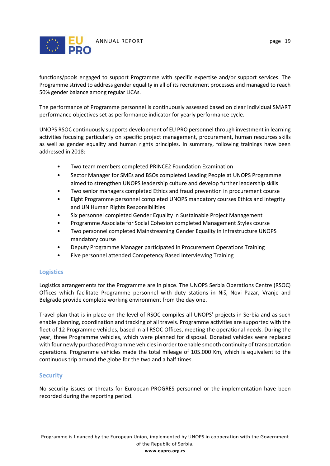

functions/pools engaged to support Programme with specific expertise and/or support services. The Programme strived to address gender equality in all of its recruitment processes and managed to reach 50% gender balance among regular LICAs.

The performance of Programme personnel is continuously assessed based on clear individual SMART performance objectives set as performance indicator for yearly performance cycle.

UNOPS RSOC continuously supports development of EU PRO personnel through investment in learning activities focusing particularly on specific project management, procurement, human resources skills as well as gender equality and human rights principles. In summary, following trainings have been addressed in 2018:

- Two team members completed PRINCE2 Foundation Examination
- Sector Manager for SMEs and BSOs completed Leading People at UNOPS Programme aimed to strengthen UNOPS leadership culture and develop further leadership skills
- Two senior managers completed Ethics and fraud prevention in procurement course
- Eight Programme personnel completed UNOPS mandatory courses Ethics and Integrity and UN Human Rights Responsibilities
- Six personnel completed Gender Equality in Sustainable Project Management
- Programme Associate for Social Cohesion completed Management Styles course
- Two personnel completed Mainstreaming Gender Equality in Infrastructure UNOPS mandatory course
- Deputy Programme Manager participated in Procurement Operations Training
- Five personnel attended Competency Based Interviewing Training

#### <span id="page-19-0"></span>**Logistics**

Logistics arrangements for the Programme are in place. The UNOPS Serbia Operations Centre (RSOC) Offices which facilitate Programme personnel with duty stations in Niš, Novi Pazar, Vranje and Belgrade provide complete working environment from the day one.

Travel plan that is in place on the level of RSOC compiles all UNOPS' projects in Serbia and as such enable planning, coordination and tracking of all travels. Programme activities are supported with the fleet of 12 Programme vehicles, based in all RSOC Offices, meeting the operational needs. During the year, three Programme vehicles, which were planned for disposal. Donated vehicles were replaced with four newly purchased Programme vehicles in order to enable smooth continuity of transportation operations. Programme vehicles made the total mileage of 105.000 Km, which is equivalent to the continuous trip around the globe for the two and a half times.

#### <span id="page-19-1"></span>**Security**

No security issues or threats for European PROGRES personnel or the implementation have been recorded during the reporting period.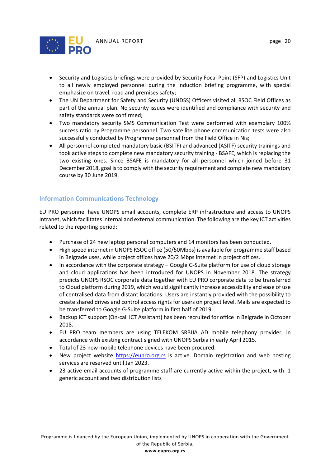

- Security and Logistics briefings were provided by Security Focal Point (SFP) and Logistics Unit to all newly employed personnel during the induction briefing programme, with special emphasize on travel, road and premises safety;
- The UN Department for Safety and Security (UNDSS) Officers visited all RSOC Field Offices as part of the annual plan. No security issues were identified and compliance with security and safety standards were confirmed;
- Two mandatory security SMS Communication Test were performed with exemplary 100% success ratio by Programme personnel. Two satellite phone communication tests were also successfully conducted by Programme personnel from the Field Office in Nis;
- All personnel completed mandatory basic (BSITF) and advanced (ASITF) security trainings and took active steps to complete new mandatory security training - BSAFE, which is replacing the two existing ones. Since BSAFE is mandatory for all personnel which joined before 31 December 2018, goal is to comply with the security requirement and complete new mandatory course by 30 June 2019.

#### <span id="page-20-0"></span>**Information Communications Technology**

EU PRO personnel have UNOPS email accounts, complete ERP infrastructure and access to UNOPS Intranet, which facilitates internal and external communication. The following are the key ICT activities related to the reporting period:

- Purchase of 24 new laptop personal computers and 14 monitors has been conducted.
- High speed internet in UNOPS RSOC office (50/50Mbps) is available for programme staff based in Belgrade uses, while project offices have 20/2 Mbps internet in project offices.
- In accordance with the corporate strategy Google G-Suite platform for use of cloud storage and cloud applications has been introduced for UNOPS in November 2018. The strategy predicts UNOPS RSOC corporate data together with EU PRO corporate data to be transferred to Cloud platform during 2019, which would significantly increase accessibility and ease of use of centralised data from distant locations. Users are instantly provided with the possibility to create shared drives and control access rights for users on project level. Mails are expected to be transferred to Google G-Suite platform in first half of 2019.
- Backup ICT support (On-call ICT Assistant) has been recruited for office in Belgrade in October 2018.
- EU PRO team members are using TELEKOM SRBIJA AD mobile telephony provider, in accordance with existing contract signed with UNOPS Serbia in early April 2015.
- Total of 23 new mobile telephone devices have been procured.
- New project website [https://eupro.org.rs](https://eupro.org.rs/) is active. Domain registration and web hosting services are reserved until Jan 2023.
- 23 active email accounts of programme staff are currently active within the project, with 1 generic account and two distribution lists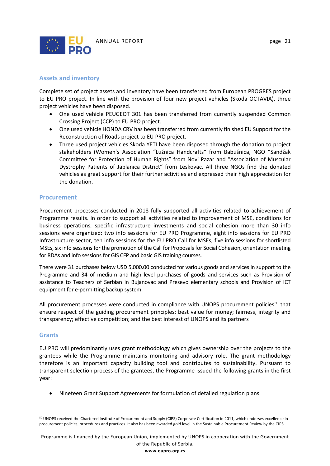

#### <span id="page-21-0"></span>**Assets and inventory**

Complete set of project assets and inventory have been transferred from European PROGRES project to EU PRO project. In line with the provision of four new project vehicles (Skoda OCTAVIA), three project vehicles have been disposed.

- One used vehicle PEUGEOT 301 has been transferred from currently suspended Common Crossing Project (CCP) to EU PRO project.
- One used vehicle HONDA CRV has been transferred from currently finished EU Support for the Reconstruction of Roads project to EU PRO project.
- Three used project vehicles Skoda YETI have been disposed through the donation to project stakeholders (Women's Association "Lužnica Handcrafts" from Babušnica, NGO "Sandžak Committee for Protection of Human Rights" from Novi Pazar and "Association of Muscular Dystrophy Patients of Jablanica District" from Leskovac. All three NGOs find the donated vehicles as great support for their further activities and expressed their high appreciation for the donation.

#### <span id="page-21-1"></span>**Procurement**

Procurement processes conducted in 2018 fully supported all activities related to achievement of Programme results. In order to support all activities related to improvement of MSE, conditions for business operations, specific infrastructure investments and social cohesion more than 30 info sessions were organized: two info sessions for EU PRO Programme, eight info sessions for EU PRO Infrastructure sector, ten info sessions for the EU PRO Call for MSEs, five info sessions for shortlisted MSEs, six info sessions for the promotion of the Call for Proposals for Social Cohesion, orientation meeting for RDAs and info sessions for GIS CFP and basic GIS training courses.

There were 31 purchases below USD 5,000.00 conducted for various goods and services in support to the Programme and 34 of medium and high level purchases of goods and services such as Provision of assistance to Teachers of Serbian in Bujanovac and Presevo elementary schools and Provision of ICT equipment for e-permitting backup system.

All procurement processes were conducted in compliance with UNOPS procurement policies<sup>[50](#page-21-3)</sup> that ensure respect of the guiding procurement principles: best value for money; fairness, integrity and transparency; effective competition; and the best interest of UNOPS and its partners

#### <span id="page-21-2"></span>**Grants**

 $\overline{a}$ 

EU PRO will predominantly uses grant methodology which gives ownership over the projects to the grantees while the Programme maintains monitoring and advisory role. The grant methodology therefore is an important capacity building tool and contributes to sustainability. Pursuant to transparent selection process of the grantees, the Programme issued the following grants in the first year:

• Nineteen Grant Support Agreements for formulation of detailed regulation plans

Programme is financed by the European Union, implemented by UNOPS in cooperation with the Government of the Republic of Serbia. **www.eupro.org.rs**

<span id="page-21-3"></span><sup>50</sup> UNOPS received the Chartered Institute of Procurement and Supply (CIPS) Corporate Certification in 2011, which endorses excellence in procurement policies, procedures and practices. It also has been awarded gold level in the Sustainable Procurement Review by the CIPS.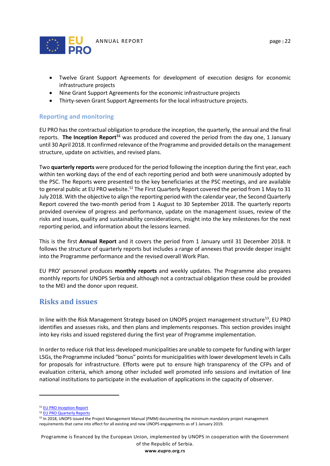

- Twelve Grant Support Agreements for development of execution designs for economic infrastructure projects
- Nine Grant Support Agreements for the economic infrastructure projects
- Thirty-seven Grant Support Agreements for the local infrastructure projects.

#### <span id="page-22-0"></span>**Reporting and monitoring**

EU PRO has the contractual obligation to produce the inception, the quarterly, the annual and the final reports. **The Inception Report**<sup>51</sup> was produced and covered the period from the day one, 1 January until 30 April 2018. It confirmed relevance of the Programme and provided details on the management structure, update on activities, and revised plans.

Two **quarterly reports** were produced for the period following the inception during the first year, each within ten working days of the end of each reporting period and both were unanimously adopted by the PSC. The Reports were presented to the key beneficiaries at the PSC meetings, and are available to general public at EU PRO website.<sup>[52](#page-22-3)</sup> The First Quarterly Report covered the period from 1 May to 31 July 2018. With the objective to align the reporting period with the calendar year, the Second Quarterly Report covered the two-month period from 1 August to 30 September 2018. The quarterly reports provided overview of progress and performance, update on the management issues, review of the risks and issues, quality and sustainability considerations, insight into the key milestones for the next reporting period, and information about the lessons learned.

This is the first **Annual Report** and it covers the period from 1 January until 31 December 2018. It follows the structure of quarterly reports but includes a range of annexes that provide deeper insight into the Programme performance and the revised overall Work Plan.

EU PRO' personnel produces **monthly reports** and weekly updates. The Programme also prepares monthly reports for UNOPS Serbia and although not a contractual obligation these could be provided to the MEI and the donor upon request.

# <span id="page-22-1"></span>**Risks and issues**

In line with the Risk Management Strategy based on UNOPS project management structure<sup>53</sup>, EU PRO identifies and assesses risks, and then plans and implements responses. This section provides insight into key risks and issued registered during the first year of Programme implementation.

In order to reduce risk that less developed municipalities are unable to compete for funding with larger LSGs, the Programme included "bonus" points for municipalities with lower development levels in Calls for proposals for infrastructure. Efforts were put to ensure high transparency of the CFPs and of evaluation criteria, which among other included well promoted info sessions and invitation of line national institutions to participate in the evaluation of applications in the capacity of observer.

 $\overline{a}$ 

Programme is financed by the European Union, implemented by UNOPS in cooperation with the Government of the Republic of Serbia.

<span id="page-22-2"></span><sup>51</sup> [EU PRO Inception Report](http://eupro.org.rs/en/biblioteka/uvodni-izvestaj)

<span id="page-22-4"></span><span id="page-22-3"></span><sup>&</sup>lt;sup>52</sup> EU PRO Quarterly Reports<br><sup>53</sup> In 2018, UNOPS issued the Project Management Manual (PMM) documenting the minimum mandatory project management requirements that came into effect for all existing and new UNOPS engagements as of 1 January 2019.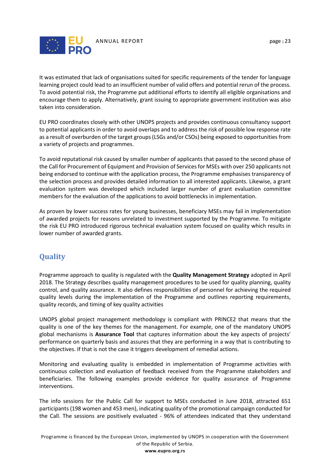

It was estimated that lack of organisations suited for specific requirements of the tender for language learning project could lead to an insufficient number of valid offers and potential rerun of the process. To avoid potential risk, the Programme put additional efforts to identify all eligible organisations and encourage them to apply. Alternatively, grant issuing to appropriate government institution was also taken into consideration.

EU PRO coordinates closely with other UNOPS projects and provides continuous consultancy support to potential applicants in order to avoid overlaps and to address the risk of possible low response rate as a result of overburden of the target groups (LSGs and/or CSOs) being exposed to opportunities from a variety of projects and programmes.

To avoid reputational risk caused by smaller number of applicants that passed to the second phase of the Call for Procurement of Equipment and Provision of Services for MSEs with over 250 applicants not being endorsed to continue with the application process, the Programme emphasises transparency of the selection process and provides detailed information to all interested applicants. Likewise, a grant evaluation system was developed which included larger number of grant evaluation committee members for the evaluation of the applications to avoid bottlenecks in implementation.

As proven by lower success rates for young businesses, beneficiary MSEs may fail in implementation of awarded projects for reasons unrelated to investment supported by the Programme. To mitigate the risk EU PRO introduced rigorous technical evaluation system focused on quality which results in lower number of awarded grants.

# <span id="page-23-0"></span>**Quality**

Programme approach to quality is regulated with the **Quality Management Strategy** adopted in April 2018. The Strategy describes quality management procedures to be used for quality planning, quality control, and quality assurance. It also defines responsibilities of personnel for achieving the required quality levels during the implementation of the Programme and outlines reporting requirements, quality records, and timing of key quality activities

UNOPS global project management methodology is compliant with PRINCE2 that means that the quality is one of the key themes for the management. For example, one of the mandatory UNOPS global mechanisms is **Assurance Tool** that captures information about the key aspects of projects' performance on quarterly basis and assures that they are performing in a way that is contributing to the objectives. If that is not the case it triggers development of remedial actions.

Monitoring and evaluating quality is embedded in implementation of Programme activities with continuous collection and evaluation of feedback received from the Programme stakeholders and beneficiaries. The following examples provide evidence for quality assurance of Programme interventions.

The info sessions for the Public Call for support to MSEs conducted in June 2018, attracted 651 participants (198 women and 453 men), indicating quality of the promotional campaign conducted for the Call. The sessions are positively evaluated - 96% of attendees indicated that they understand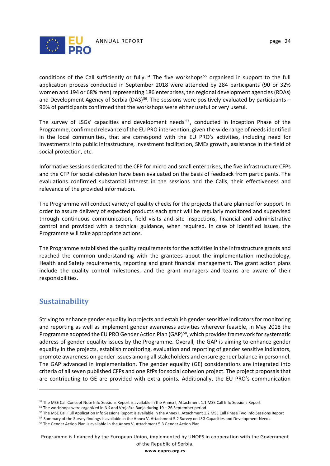

conditions of the Call sufficiently or fully.<sup>[54](#page-24-1)</sup> The five workshops<sup>[55](#page-24-2)</sup> organised in support to the full application process conducted in September 2018 were attended by 284 participants (90 or 32% women and 194 or 68% men) representing 186 enterprises, ten regional development agencies (RDAs) and Development Agency of Serbia (DAS)<sup>[56](#page-24-3)</sup>. The sessions were positively evaluated by participants – 96% of participants confirmed that the workshops were either useful or very useful.

The survey of LSGs' capacities and development needs <sup>[57](#page-24-4)</sup>, conducted in Inception Phase of the Programme, confirmed relevance of the EU PRO intervention, given the wide range of needs identified in the local communities, that are correspond with the EU PRO's activities, including need for investments into public infrastructure, investment facilitation, SMEs growth, assistance in the field of social protection, etc.

Informative sessions dedicated to the CFP for micro and small enterprises, the five infrastructure CFPs and the CFP for social cohesion have been evaluated on the basis of feedback from participants. The evaluations confirmed substantial interest in the sessions and the Calls, their effectiveness and relevance of the provided information.

The Programme will conduct variety of quality checks for the projects that are planned for support. In order to assure delivery of expected products each grant will be regularly monitored and supervised through continuous communication, field visits and site inspections, financial and administrative control and provided with a technical guidance, when required. In case of identified issues, the Programme will take appropriate actions.

The Programme established the quality requirements for the activities in the infrastructure grants and reached the common understanding with the grantees about the implementation methodology, Health and Safety requirements, reporting and grant financial management. The grant action plans include the quality control milestones, and the grant managers and teams are aware of their responsibilities.

# <span id="page-24-0"></span>**Sustainability**

 $\overline{a}$ 

Striving to enhance gender equality in projects and establish gender sensitive indicators for monitoring and reporting as well as implement gender awareness activities wherever feasible, in May 2018 the Programme adopted the EU PRO Gender Action Plan (GAP)<sup>58</sup>, which provides framework for systematic address of gender equality issues by the Programme. Overall, the GAP is aiming to enhance gender equality in the projects, establish monitoring, evaluation and reporting of gender sensitive indicators, promote awareness on gender issues among all stakeholders and ensure gender balance in personnel. The GAP advanced in implementation. The gender equality (GE) considerations are integrated into criteria of all seven published CFPs and one RfPs for social cohesion project. The project proposals that are contributing to GE are provided with extra points. Additionally, the EU PRO's communication

<span id="page-24-1"></span><sup>54</sup> The MSE Call Concept Note Info Sessions Report is available in the Annex I, Attachment 1.1 MSE Call Info Sessions Report

<span id="page-24-3"></span><span id="page-24-2"></span><sup>55</sup> The workshops were organized in Niš and Vrnjačka Banja during 19 – 26 September period

<span id="page-24-4"></span><sup>&</sup>lt;sup>56</sup> The MSE Call Full Application Info Sessions Report is available in the Annex I, Attachment 1.2 MSE Call Phase Two Info Sessions Report<br><sup>57</sup> Summary of the Survey findings is available in the Annex V, Attachment 5.2 Su

<span id="page-24-5"></span><sup>58</sup> The Gender Action Plan is available in the Annex V, Attachment 5.3 Gender Action Plan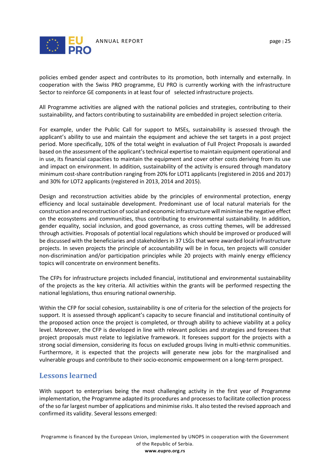

policies embed gender aspect and contributes to its promotion, both internally and externally. In cooperation with the Swiss PRO programme, EU PRO is currently working with the infrastructure Sector to reinforce GE components in at least four of selected infrastructure projects.

All Programme activities are aligned with the national policies and strategies, contributing to their sustainability, and factors contributing to sustainability are embedded in project selection criteria.

For example, under the Public Call for support to MSEs, sustainability is assessed through the applicant's ability to use and maintain the equipment and achieve the set targets in a post project period. More specifically, 10% of the total weight in evaluation of Full Project Proposals is awarded based on the assessment of the applicant's technical expertise to maintain equipment operational and in use, its financial capacities to maintain the equipment and cover other costs deriving from its use and impact on environment. In addition, sustainability of the activity is ensured through mandatory minimum cost-share contribution ranging from 20% for LOT1 applicants (registered in 2016 and 2017) and 30% for LOT2 applicants (registered in 2013, 2014 and 2015).

Design and reconstruction activities abide by the principles of environmental protection, energy efficiency and local sustainable development. Predominant use of local natural materials for the construction and reconstruction of social and economic infrastructure will minimise the negative effect on the ecosystems and communities, thus contributing to environmental sustainability. In addition, gender equality, social inclusion, and good governance, as cross cutting themes, will be addressed through activities. Proposals of potential local regulations which should be improved or produced will be discussed with the beneficiaries and stakeholders in 37 LSGs that were awarded local infrastructure projects. In seven projects the principle of accountability will be in focus, ten projects will consider non-discrimination and/or participation principles while 20 projects with mainly energy efficiency topics will concentrate on environment benefits.

The CFPs for infrastructure projects included financial, institutional and environmental sustainability of the projects as the key criteria. All activities within the grants will be performed respecting the national legislations, thus ensuring national ownership.

Within the CFP for social cohesion, sustainability is one of criteria for the selection of the projects for support. It is assessed through applicant's capacity to secure financial and institutional continuity of the proposed action once the project is completed, or through ability to achieve viability at a policy level. Moreover, the CFP is developed in line with relevant policies and strategies and foresees that project proposals must relate to legislative framework. It foresees support for the projects with a strong social dimension, considering its focus on excluded groups living in multi-ethnic communities. Furthermore, it is expected that the projects will generate new jobs for the marginalised and vulnerable groups and contribute to their socio-economic empowerment on a long-term prospect.

#### **Lessons learned**

With support to enterprises being the most challenging activity in the first year of Programme implementation, the Programme adapted its procedures and processes to facilitate collection process of the so far largest number of applications and minimise risks. It also tested the revised approach and confirmed its validity. Several lessons emerged: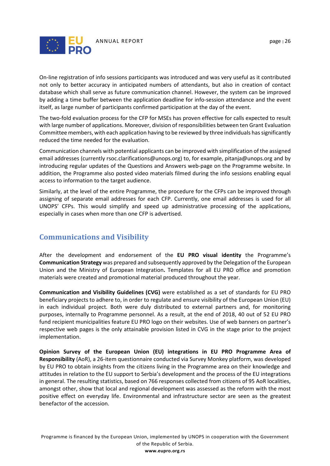

On-line registration of info sessions participants was introduced and was very useful as it contributed not only to better accuracy in anticipated numbers of attendants, but also in creation of contact database which shall serve as future communication channel. However, the system can be improved by adding a time buffer between the application deadline for info-session attendance and the event itself, as large number of participants confirmed participation at the day of the event.

The two-fold evaluation process for the CFP for MSEs has proven effective for calls expected to result with large number of applications. Moreover, division of responsibilities between ten Grant Evaluation Committee members, with each application having to be reviewed by three individuals has significantly reduced the time needed for the evaluation.

Communication channels with potential applicants can be improved with simplification of the assigned email addresses (currently rsoc.clarifications@unops.org) to, for example, pitanja@unops.org and by introducing regular updates of the Questions and Answers web-page on the Programme website. In addition, the Programme also posted video materials filmed during the info sessions enabling equal access to information to the target audience.

Similarly, at the level of the entire Programme, the procedure for the CFPs can be improved through assigning of separate email addresses for each CFP. Currently, one email addresses is used for all UNOPS' CFPs. This would simplify and speed up administrative processing of the applications, especially in cases when more than one CFP is advertised.

# <span id="page-26-0"></span>**Communications and Visibility**

After the development and endorsement of the **EU PRO visual identity** the Programme's **Communication Strategy** was prepared and subsequently approved by the Delegation of the European Union and the Ministry of European Integration**.** Templates for all EU PRO office and promotion materials were created and promotional material produced throughout the year.

**Communication and Visibility Guidelines (CVG)** were established as a set of standards for EU PRO beneficiary projects to adhere to, in order to regulate and ensure visibility of the European Union (EU) in each individual project. Both were duly distributed to external partners and, for monitoring purposes, internally to Programme personnel. As a result, at the end of 2018, 40 out of 52 EU PRO fund recipient municipalities feature EU PRO logo on their websites. Use of web banners on partner's respective web pages is the only attainable provision listed in CVG in the stage prior to the project implementation.

**Opinion Survey of the European Union (EU) integrations in EU PRO Programme Area of Responsibility** (AoR), a 26-item questionnaire conducted via Survey Monkey platform, was developed by EU PRO to obtain insights from the citizens living in the Programme area on their knowledge and attitudes in relation to the EU support to Serbia's development and the process of the EU integrations in general. The resulting statistics, based on 766 responses collected from citizens of 95 AoR localities, amongst other, show that local and regional development was assessed as the reform with the most positive effect on everyday life. Environmental and infrastructure sector are seen as the greatest benefactor of the accession.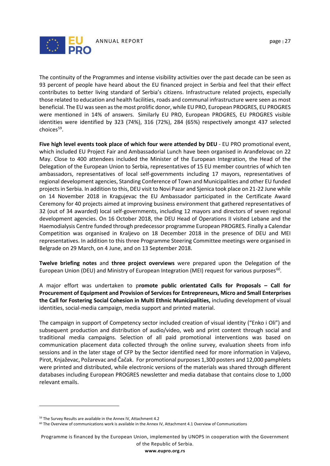

The continuity of the Programmes and intense visibility activities over the past decade can be seen as 93 percent of people have heard about the EU financed project in Serbia and feel that their effect contributes to better living standard of Serbia's citizens. Infrastructure related projects, especially those related to education and health facilities, roads and communal infrastructure were seen as most beneficial. The EU was seen as the most prolific donor, while EU PRO, European PROGRES, EU PROGRES were mentioned in 14% of answers. Similarly EU PRO, European PROGRES, EU PROGRES visible identities were identified by 323 (74%), 316 (72%), 284 (65%) respectively amongst 437 selected choices $59$ .

**Five high level events took place of which four were attended by DEU** - EU PRO promotional event, which included EU Project Fair and Ambassadorial Lunch have been organised in Aranđelovac on 22 May. Close to 400 attendees included the Minister of the European Integration, the Head of the Delegation of the European Union to Serbia, representatives of 15 EU member countries of which ten ambassadors, representatives of local self-governments including 17 mayors, representatives of regional development agencies, Standing Conference of Town and Municipalities and other EU funded projects in Serbia. In addition to this, DEU visit to Novi Pazar and Sjenica took place on 21-22 June while on 14 November 2018 in Kragujevac the EU Ambassador participated in the Certificate Award Ceremony for 40 projects aimed at improving business environment that gathered representatives of 32 (out of 34 awarded) local self-governments, including 12 mayors and directors of seven regional development agencies. On 16 October 2018, the DEU Head of Operations II visited Lebane and the Haemodialysis Centre funded through predecessor programme European PROGRES. Finally a Calendar Competition was organised in Kraljevo on 18 December 2018 in the presence of DEU and MEI representatives. In addition to this three Programme Steering Committee meetings were organised in Belgrade on 29 March, on 4 June, and on 13 September 2018.

**Twelve briefing notes** and **three project overviews** were prepared upon the Delegation of the European Union (DEU) and Ministry of European Integration (MEI) request for various purposes<sup>[60](#page-27-1)</sup>.

A major effort was undertaken to p**romote public orientated Calls for Proposals – Call for Procurement of Equipment and Provision of Services for Entrepreneurs, Micro and Small Enterprises the Call for Fostering Social Cohesion in Multi Ethnic Municipalities,** including development of visual identities, social-media campaign, media support and printed material.

The campaign in support of Competency sector included creation of visual identity ("Enko i Oli") and subsequent production and distribution of audio/video, web and print content through social and traditional media campaigns. Selection of all paid promotional interventions was based on communication placement data collected through the online survey, evaluation sheets from info sessions and in the later stage of CFP by the Sector identified need for more information in Valjevo, Pirot, Knjaževac, Požarevac and Čačak. For promotional purposes 1,300 posters and 12,000 pamphlets were printed and distributed, while electronic versions of the materials was shared through different databases including European PROGRES newsletter and media database that contains close to 1,000 relevant emails.

 $\overline{a}$ 

Programme is financed by the European Union, implemented by UNOPS in cooperation with the Government of the Republic of Serbia. **www.eupro.org.rs**

<span id="page-27-0"></span><sup>&</sup>lt;sup>59</sup> The Survey Results are available in the Annex IV, Attachment 4.2

<span id="page-27-1"></span> $60$  The Overview of communications work is available in the Annex IV, Attachment 4.1 Overview of Communications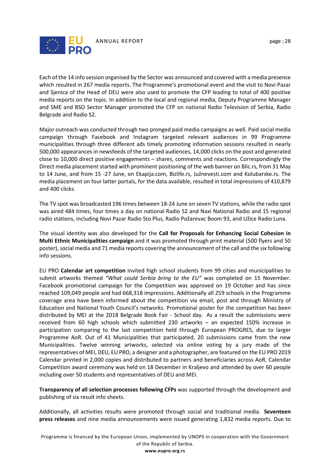

Each of the 14 info session organised by the Sector was announced and covered with a media presence which resulted in 267 media reports. The Programme's promotional event and the visit to Novi Pazar and Sjenica of the Head of DEU were also used to promote the CFP leading to total of 400 positive media reports on the topic. In addition to the local and regional media, Deputy Programme Manager and SME and BSO Sector Manager promoted the CFP on national Radio Television of Serbia, Radio Belgrade and Radio S2.

Major outreach was conducted through two pronged paid media campaigns as well. Paid social media campaign through Facebook and Instagram targeted relevant audiences in 99 Programme municipalities through three different ads timely promoting information sessions resulted in nearly 500,000 appearances in newsfeeds of the targeted audiences, 14,000 clicks on the post and generated close to 10,000 direct positive engagements – shares, comments and reactions. Correspondingly the Direct media placement started with prominent positioning of the web banner on Blic.rs, from 31 May to 14 June, and from 15 -27 June, on Ekapija.com, Bizlife.rs, Južnevesti.com and Kolubarske.rs. The media placement on four latter portals, for the data available, resulted in total impressions of 410,879 and 400 clicks.

The TV spot was broadcasted 196 times between 18-24 June on seven TV stations, while the radio spot was aired 484 times, four times a day on national Radio S2 and Naxi National Radio and 15 regional radio stations, including Novi Pazar Radio Sto Plus, Radio Požarevac Boom 93, and Užice Radio Luna.

The visual identity was also developed for the **Call for Proposals for Enhancing Social Cohesion in Multi Ethnic Municipalities campaign** and it was promoted through print material (500 flyers and 50 poster), social media and 71 media reports covering the announcement of the call and the six following info sessions.

EU PRO **Calendar art competition** invited high school students from 99 cities and municipalities to submit artworks themed *"What could Serbia bring to the EU"* was completed on 15 November. Facebook promotional campaign for the Competition was approved on 19 October and has since reached 109,049 people and had 668,318 impressions. Additionally all 259 schools in the Programme coverage area have been informed about the competition via email, post and through Ministry of Education and National Youth Council's networks. Promotional poster for the competition has been distributed by MEI at the 2018 Belgrade Book Fair - School day. As a result the submissions were received from 60 high schools which submitted 230 artworks – an expected 150% increase in participation comparing to the last competition held through European PROGRES, due to larger Programme AoR. Out of 41 Municipalities that participated, 20 submissions came from the new Municipalities. Twelve winning artworks, selected via online voting by a jury made of the representatives of MEI, DEU, EU PRO, a designer and a photographer, are featured on the EU PRO 2019 Calendar printed in 2,000 copies and distributed to partners and beneficiaries across AoR. Calendar Competition award ceremony was held on 18 December in Kraljevo and attended by over 60 people including over 50 students and representatives of DEU and MEI.

**Transparency of all selection processes following CFPs** was supported through the development and publishing of six result info sheets.

Additionally, all activities results were promoted through social and traditional media. **Seventeen press releases** and nine media announcements were issued generating 1,832 media reports. Due to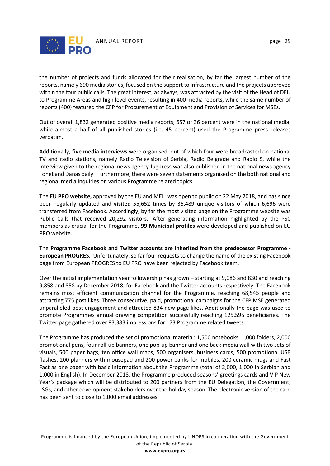

the number of projects and funds allocated for their realisation, by far the largest number of the reports, namely 690 media stories, focused on the support to infrastructure and the projects approved within the four public calls. The great interest, as always, was attracted by the visit of the Head of DEU to Programme Areas and high level events, resulting in 400 media reports, while the same number of reports (400) featured the CFP for Procurement of Equipment and Provision of Services for MSEs.

Out of overall 1,832 generated positive media reports, 657 or 36 percent were in the national media, while almost a half of all published stories (i.e. 45 percent) used the Programme press releases verbatim.

Additionally, **five media interviews** were organised, out of which four were broadcasted on national TV and radio stations, namely Radio Television of Serbia, Radio Belgrade and Radio S, while the interview given to the regional news agency Jugpress was also published in the national news agency Fonet and Danas daily. Furthermore, there were seven statements organised on the both national and regional media inquiries on various Programme related topics.

The **EU PRO website,** approved by the EU and MEI, was open to public on 22 May 2018, and has since been regularly updated and **visited** 55,652 times by 36,489 unique visitors of which 6,696 were transferred from Facebook. Accordingly, by far the most visited page on the Programme website was Public Calls that received 20,292 visitors. After generating information highlighted by the PSC members as crucial for the Programme, **99 Municipal profiles** were developed and published on EU PRO website.

The **Programme Facebook and Twitter accounts are inherited from the predecessor Programme - European PROGRES.** Unfortunately, so far four requests to change the name of the existing Facebook page from European PROGRES to EU PRO have been rejected by Facebook team.

Over the initial implementation year followership has grown – starting at 9,086 and 830 and reaching 9,858 and 858 by December 2018, for Facebook and the Twitter accounts respectively. The Facebook remains most efficient communication channel for the Programme, reaching 68,545 people and attracting 775 post likes. Three consecutive, paid, promotional campaigns for the CFP MSE generated unparalleled post engagement and attracted 834 new page likes. Additionally the page was used to promote Programmes annual drawing competition successfully reaching 125,595 beneficiaries. The Twitter page gathered over 83,383 impressions for 173 Programme related tweets.

The Programme has produced the set of promotional material: 1,500 notebooks, 1,000 folders, 2,000 promotional pens, four roll-up banners, one pop-up banner and one back media wall with two sets of visuals, 500 paper bags, ten office wall maps, 500 organisers, business cards, 500 promotional USB flashes, 200 planners with mousepad and 200 power banks for mobiles, 200 ceramic mugs and Fast Fact as one pager with basic information about the Programme (total of 2,000, 1,000 in Serbian and 1,000 in English). In December 2018, the Programme produced seasons' greetings cards and VIP New Year`s package which will be distributed to 200 partners from the EU Delegation, the Government, LSGs, and other development stakeholders over the holiday season. The electronic version of the card has been sent to close to 1,000 email addresses.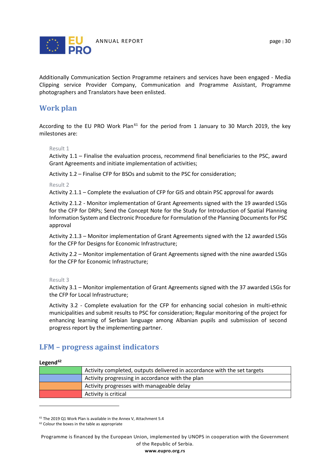

Additionally Communication Section Programme retainers and services have been engaged - Media Clipping service Provider Company, Communication and Programme Assistant, Programme photographers and Translators have been enlisted.

# <span id="page-30-0"></span>**Work plan**

According to the EU PRO Work Plan<sup>[61](#page-30-1)</sup> for the period from 1 January to 30 March 2019, the key milestones are:

#### Result 1

Activity 1.1 – Finalise the evaluation process, recommend final beneficiaries to the PSC, award Grant Agreements and initiate implementation of activities;

Activity 1.2 – Finalise CFP for BSOs and submit to the PSC for consideration;

Result 2

Activity 2.1.1 – Complete the evaluation of CFP for GIS and obtain PSC approval for awards

Activity 2.1.2 - Monitor implementation of Grant Agreements signed with the 19 awarded LSGs for the CFP for DRPs; Send the Concept Note for the Study for Introduction of Spatial Planning Information System and Electronic Procedure for Formulation of the Planning Documents for PSC approval

Activity 2.1.3 – Monitor implementation of Grant Agreements signed with the 12 awarded LSGs for the CFP for Designs for Economic Infrastructure;

Activity 2.2 – Monitor implementation of Grant Agreements signed with the nine awarded LSGs for the CFP for Economic Infrastructure;

#### Result 3

Activity 3.1 – Monitor implementation of Grant Agreements signed with the 37 awarded LSGs for the CFP for Local Infrastructure;

Activity 3.2 - Complete evaluation for the CFP for enhancing social cohesion in multi-ethnic municipalities and submit results to PSC for consideration; Regular monitoring of the project for enhancing learning of Serbian language among Albanian pupils and submission of second progress report by the implementing partner.

# **LFM – progress against indicators**

#### **Legend[62](#page-30-2)**

 $\overline{a}$ 

| Activity completed, outputs delivered in accordance with the set targets |
|--------------------------------------------------------------------------|
| Activity progressing in accordance with the plan                         |
| Activity progresses with manageable delay                                |
| Activity is critical                                                     |

<span id="page-30-1"></span><sup>61</sup> The 2019 Q1 Work Plan is available in the Annex V, Attachment 5.4

Programme is financed by the European Union, implemented by UNOPS in cooperation with the Government of the Republic of Serbia.

<span id="page-30-2"></span><sup>&</sup>lt;sup>62</sup> Colour the boxes in the table as appropriate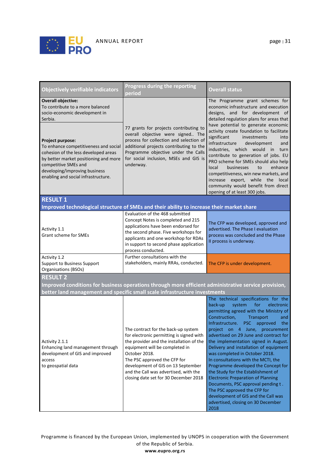

| <b>Objectively verifiable indicators</b>                                                                                                                                                                                                   | Progress during the reporting<br>period                                                                                                                                                                                                                                                                                                | <b>Overall status</b>                                                                                                                                                                                                                                                                                                                                                                                                                                                                                                                                                                                                                                                                                                            |  |  |  |
|--------------------------------------------------------------------------------------------------------------------------------------------------------------------------------------------------------------------------------------------|----------------------------------------------------------------------------------------------------------------------------------------------------------------------------------------------------------------------------------------------------------------------------------------------------------------------------------------|----------------------------------------------------------------------------------------------------------------------------------------------------------------------------------------------------------------------------------------------------------------------------------------------------------------------------------------------------------------------------------------------------------------------------------------------------------------------------------------------------------------------------------------------------------------------------------------------------------------------------------------------------------------------------------------------------------------------------------|--|--|--|
| <b>Overall objective:</b><br>To contribute to a more balanced<br>socio-economic development in<br>Serbia.                                                                                                                                  |                                                                                                                                                                                                                                                                                                                                        | The Programme grant schemes for<br>economic infrastructure and execution<br>designs, and for development of<br>detailed regulation plans for areas that                                                                                                                                                                                                                                                                                                                                                                                                                                                                                                                                                                          |  |  |  |
| Project purpose:<br>To enhance competitiveness and social<br>cohesion of the less developed areas<br>by better market positioning and more<br>competitive SMEs and<br>developing/improving business<br>enabling and social infrastructure. | 77 grants for projects contributing to<br>overall objective were signed The<br>process for collection and selection of<br>additional projects contributing to the<br>Programme objective under the Calls<br>for social inclusion, MSEs and GIS is<br>underway.                                                                         | have potential to generate economic<br>activity create foundation to facilitate<br>significant<br>investments<br>into<br>infrastructure<br>development<br>and<br>industries. which would in turn<br>contribute to generation of jobs. EU<br>PRO scheme for SMEs should also help<br>local<br>businesses<br>enhance<br>to<br>competitiveness, win new markets, and<br>increase export, while the local<br>community would benefit from direct<br>opening of at least 300 jobs.                                                                                                                                                                                                                                                    |  |  |  |
| <b>RESULT 1</b>                                                                                                                                                                                                                            |                                                                                                                                                                                                                                                                                                                                        |                                                                                                                                                                                                                                                                                                                                                                                                                                                                                                                                                                                                                                                                                                                                  |  |  |  |
|                                                                                                                                                                                                                                            | Improved technological structure of SMEs and their ability to increase their market share                                                                                                                                                                                                                                              |                                                                                                                                                                                                                                                                                                                                                                                                                                                                                                                                                                                                                                                                                                                                  |  |  |  |
| Activity 1.1<br><b>Grant scheme for SMEs</b>                                                                                                                                                                                               | Evaluation of the 468 submitted<br>Concept Notes is completed and 215<br>applications have been endorsed for<br>the second phase. Five workshops for<br>applicants and one workshop for RDAs<br>in support to second phase application<br>process conducted.                                                                           | The CFP was developed, approved and<br>advertised. The Phase I evaluation<br>process was concluded and the Phase<br>II process is underway.                                                                                                                                                                                                                                                                                                                                                                                                                                                                                                                                                                                      |  |  |  |
| Activity 1.2<br>Support to Business Support<br>Organisations (BSOs)                                                                                                                                                                        | Further consultations with the<br>stakeholders, mainly RRAs, conducted.                                                                                                                                                                                                                                                                | The CFP is under development.                                                                                                                                                                                                                                                                                                                                                                                                                                                                                                                                                                                                                                                                                                    |  |  |  |
| <b>RESULT 2</b><br>Improved conditions for business operations through more efficient administrative service provision,<br>better land management and specific small scale infrastructure investments                                      |                                                                                                                                                                                                                                                                                                                                        |                                                                                                                                                                                                                                                                                                                                                                                                                                                                                                                                                                                                                                                                                                                                  |  |  |  |
| Activity 2.1.1<br>Enhancing land management through<br>development of GIS and improved<br>access<br>to geospatial data                                                                                                                     | The contract for the back-up system<br>for electronic permitting is signed with<br>the provider and the installation of the<br>equipment will be completed in<br>October 2018.<br>The PSC approved the CFP for<br>development of GIS on 13 September<br>and the Call was advertised, with the<br>closing date set for 30 December 2018 | The technical specifications for the<br>electronic<br>back-up<br>system<br>for<br>permitting agreed with the Ministry of<br>Construction,<br>Transport<br>and<br>Infrastructure. PSC approved<br>the<br>project on 4 June, procurement<br>advertised on 29 June and contract for<br>the implementation signed in August.<br>Delivery and installation of equipment<br>was completed in October 2018.<br>In consultations with the MCTI, the<br>Programme developed the Concept for<br>the Study for the Establishment of<br><b>Electronic Preparation of Planning</b><br>Documents, PSC approval pending t.<br>The PSC approved the CFP for<br>development of GIS and the Call was<br>advertised, closing on 30 December<br>2018 |  |  |  |

Programme is financed by the European Union, implemented by UNOPS in cooperation with the Government of the Republic of Serbia. **www.eupro.org.rs**